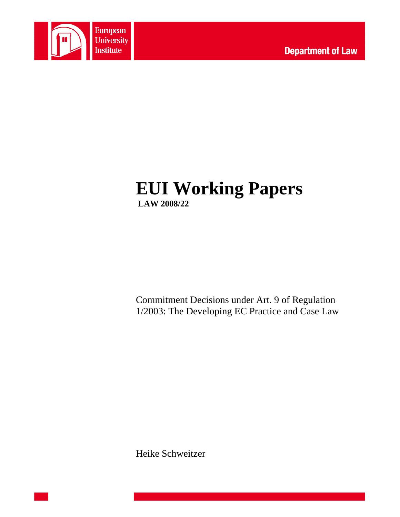

# **EUI Working Papers LAW 2008/22**

Commitment Decisions under Art. 9 of Regulation 1/2003: The Developing EC Practice and Case Law

Heike Schweitzer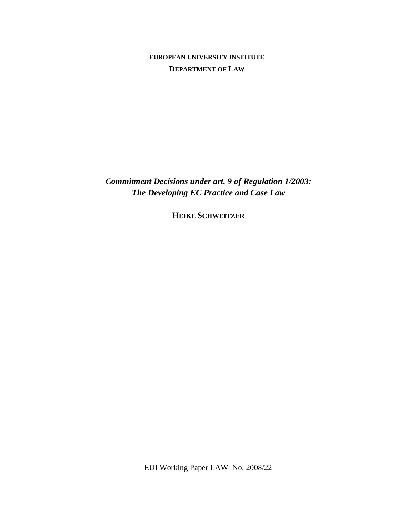## **EUROPEAN UNIVERSITY INSTITUTE DEPARTMENT OF LAW**

*Commitment Decisions under art. 9 of Regulation 1/2003: The Developing EC Practice and Case Law* 

**HEIKE SCHWEITZER**

EUI Working Paper LAW No. 2008/22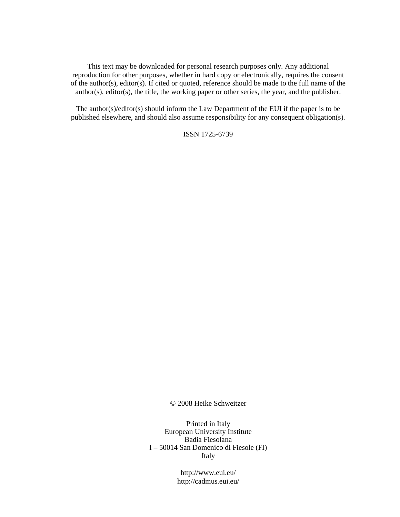This text may be downloaded for personal research purposes only. Any additional reproduction for other purposes, whether in hard copy or electronically, requires the consent of the author(s), editor(s). If cited or quoted, reference should be made to the full name of the author(s), editor(s), the title, the working paper or other series, the year, and the publisher.

The author(s)/editor(s) should inform the Law Department of the EUI if the paper is to be published elsewhere, and should also assume responsibility for any consequent obligation(s).

ISSN 1725-6739

© 2008 Heike Schweitzer

Printed in Italy European University Institute Badia Fiesolana I – 50014 San Domenico di Fiesole (FI) Italy

> http://www.eui.eu/ http://cadmus.eui.eu/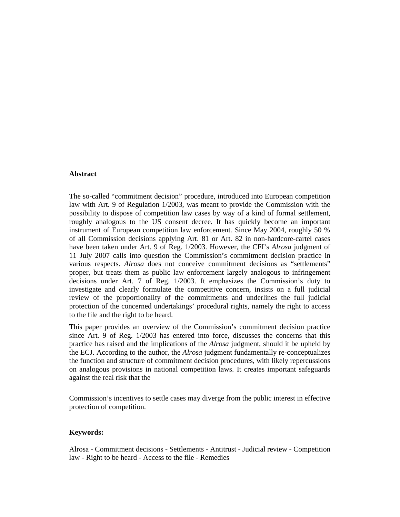#### **Abstract**

The so-called "commitment decision" procedure, introduced into European competition law with Art. 9 of Regulation 1/2003, was meant to provide the Commission with the possibility to dispose of competition law cases by way of a kind of formal settlement, roughly analogous to the US consent decree. It has quickly become an important instrument of European competition law enforcement. Since May 2004, roughly 50 % of all Commission decisions applying Art. 81 or Art. 82 in non-hardcore-cartel cases have been taken under Art. 9 of Reg. 1/2003. However, the CFI's *Alrosa* judgment of 11 July 2007 calls into question the Commission's commitment decision practice in various respects. *Alrosa* does not conceive commitment decisions as "settlements" proper, but treats them as public law enforcement largely analogous to infringement decisions under Art. 7 of Reg. 1/2003. It emphasizes the Commission's duty to investigate and clearly formulate the competitive concern, insists on a full judicial review of the proportionality of the commitments and underlines the full judicial protection of the concerned undertakings' procedural rights, namely the right to access to the file and the right to be heard.

This paper provides an overview of the Commission's commitment decision practice since Art. 9 of Reg. 1/2003 has entered into force, discusses the concerns that this practice has raised and the implications of the *Alrosa* judgment, should it be upheld by the ECJ. According to the author, the *Alrosa* judgment fundamentally re-conceptualizes the function and structure of commitment decision procedures, with likely repercussions on analogous provisions in national competition laws. It creates important safeguards against the real risk that the

Commission's incentives to settle cases may diverge from the public interest in effective protection of competition.

## **Keywords:**

Alrosa - Commitment decisions - Settlements - Antitrust - Judicial review - Competition law - Right to be heard - Access to the file - Remedies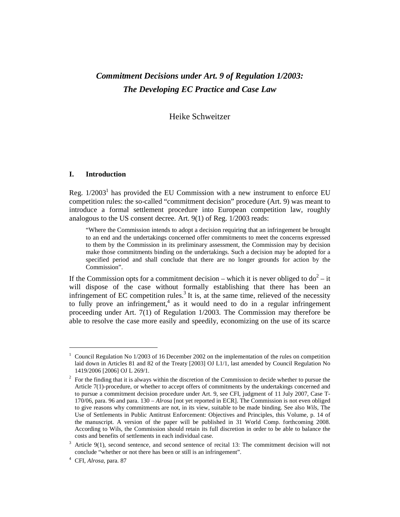# *Commitment Decisions under Art. 9 of Regulation 1/2003: The Developing EC Practice and Case Law*

Heike Schweitzer

#### **I. Introduction**

Reg.  $1/2003<sup>1</sup>$  has provided the EU Commission with a new instrument to enforce EU competition rules: the so-called "commitment decision" procedure (Art. 9) was meant to introduce a formal settlement procedure into European competition law, roughly analogous to the US consent decree. Art. 9(1) of Reg. 1/2003 reads:

"Where the Commission intends to adopt a decision requiring that an infringement be brought to an end and the undertakings concerned offer commitments to meet the concerns expressed to them by the Commission in its preliminary assessment, the Commission may by decision make those commitments binding on the undertakings. Such a decision may be adopted for a specified period and shall conclude that there are no longer grounds for action by the Commission".

If the Commission opts for a commitment decision – which it is never obliged to  $d\sigma^2 - i t$ will dispose of the case without formally establishing that there has been an infringement of EC competition rules.<sup>3</sup> It is, at the same time, relieved of the necessity to fully prove an infringement,<sup>4</sup> as it would need to do in a regular infringement proceeding under Art. 7(1) of Regulation 1/2003. The Commission may therefore be able to resolve the case more easily and speedily, economizing on the use of its scarce

<sup>1</sup> Council Regulation No 1/2003 of 16 December 2002 on the implementation of the rules on competition laid down in Articles 81 and 82 of the Treaty [2003] OJ L1/1, last amended by Council Regulation No 1419/2006 [2006] OJ L 269/1.

 $2^2$  For the finding that it is always within the discretion of the Commission to decide whether to pursue the Article 7(1)-procedure, or whether to accept offers of commitments by the undertakings concerned and to pursue a commitment decision procedure under Art. 9, see CFI, judgment of 11 July 2007, Case T-170/06*,* para. 96 and para. 130 – *Alrosa* [not yet reported in ECR]. The Commission is not even obliged to give reasons why commitments are not, in its view, suitable to be made binding. See also *Wils*, The Use of Settlements in Public Antitrust Enforcement: Objectives and Principles, this Volume, p. 14 of the manuscript. A version of the paper will be published in 31 World Comp. forthcoming 2008. According to Wils, the Commission should retain its full discretion in order to be able to balance the costs and benefits of settlements in each individual case.

 $3$  Article 9(1), second sentence, and second sentence of recital 13: The commitment decision will not conclude "whether or not there has been or still is an infringement".

<sup>4</sup> CFI, *Alrosa,* para. 87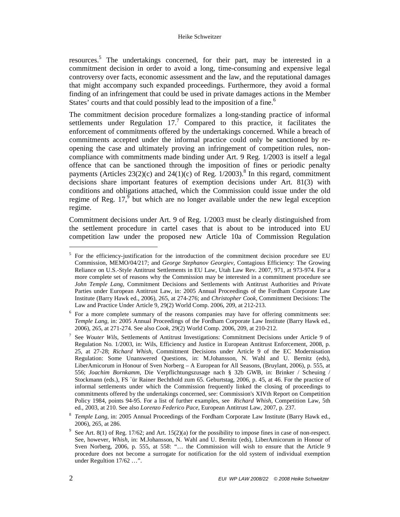#### Heike Schweitzer

resources.<sup>5</sup> The undertakings concerned, for their part, may be interested in a commitment decision in order to avoid a long, time-consuming and expensive legal controversy over facts, economic assessment and the law, and the reputational damages that might accompany such expanded proceedings. Furthermore, they avoid a formal finding of an infringement that could be used in private damages actions in the Member States' courts and that could possibly lead to the imposition of a fine.<sup>6</sup>

The commitment decision procedure formalizes a long-standing practice of informal settlements under Regulation  $17<sup>7</sup>$  Compared to this practice, it facilitates the enforcement of commitments offered by the undertakings concerned. While a breach of commitments accepted under the informal practice could only be sanctioned by reopening the case and ultimately proving an infringement of competition rules, noncompliance with commitments made binding under Art. 9 Reg. 1/2003 is itself a legal offence that can be sanctioned through the imposition of fines or periodic penalty payments (Articles 23(2)(c) and 24(1)(c) of Reg.  $1/2003$ ).<sup>8</sup> In this regard, commitment decisions share important features of exemption decisions under Art. 81(3) with conditions and obligations attached, which the Commission could issue under the old regime of Reg.  $17<sup>9</sup>$  but which are no longer available under the new legal exception regime.

Commitment decisions under Art. 9 of Reg. 1/2003 must be clearly distinguished from the settlement procedure in cartel cases that is about to be introduced into EU competition law under the proposed new Article 10a of Commission Regulation

<sup>5</sup> For the efficiency-justification for the introduction of the commitment decision procedure see EU Commission, MEMO/04/217; and *George Stephanov Georgiev,* Contagious Efficiency: The Growing Reliance on U.S.-Style Antitrust Settlements in EU Law, Utah Law Rev. 2007, 971, at 973-974. For a more complete set of reasons why the Commission may be interested in a commitment procedure see *John Temple Lang,* Commitment Decisions and Settlements with Antitrust Authorities and Private Parties under European Antitrust Law, in: 2005 Annual Proceedings of the Fordham Corporate Law Institute (Barry Hawk ed., 2006), 265, at 274-276; and *Christopher Cook*, Commitment Decisions: The Law and Practice Under Article 9, 29(2) World Comp. 2006, 209, at 212-213.

<sup>&</sup>lt;sup>6</sup> For a more complete summary of the reasons companies may have for offering commitments see: *Temple Lang,* in: 2005 Annual Proceedings of the Fordham Corporate Law Institute (Barry Hawk ed., 2006), 265, at 271-274. See also *Cook*, 29(2) World Comp. 2006, 209, at 210-212.

<sup>7</sup> See *Wouter Wils*, Settlements of Antitrust Investigations: Commitment Decisions under Article 9 of Regulation No. 1/2003, in: Wils, Efficiency and Justice in European Antitrust Enforcement, 2008, p. 25, at 27-28; *Richard Whish*, Commitment Decisions under Article 9 of the EC Modernisation Regulation: Some Unanswered Questions, in: M.Johansson, N. Wahl and U. Bernitz (eds), LiberAmicorum in Honour of Sven Norberg – A European for All Seasons, (Bruylant, 2006), p. 555, at 556; *Joachim Bornkamm,* Die Verpflichtungszusage nach § 32b GWB, in: Brinker / Scheuing / Stockmann (eds.), FS `ür Rainer Bechthold zum 65. Geburtstag, 2006, p. 45, at 46. For the practice of informal settlements under which the Commission frequently linked the closing of proceedings to commitments offered by the undertakings concerned, see: Commission's XIVth Report on Competition Policy 1984, points 94-95. For a list of further examples, see *Richard Whish*, Competition Law, 5th ed., 2003, at 210. See also *Lorenzo Federico Pace,* European Antitrust Law, 2007, p. 237.

<sup>8</sup>  *Temple Lang,* in: 2005 Annual Proceedings of the Fordham Corporate Law Institute (Barry Hawk ed., 2006), 265, at 286.

<sup>&</sup>lt;sup>9</sup> See Art. 8(1) of Reg. 17/62; and Art. 15(2)(a) for the possibility to impose fines in case of non-respect. See, however, *Whish*, in: M.Johansson, N. Wahl and U. Bernitz (eds), LiberAmicorum in Honour of Sven Norberg, 2006, p. 555, at 558: "… the Commission will wish to ensure that the Article 9 procedure does not become a surrogate for notification for the old system of individual exemption under Regultion 17/62 ...".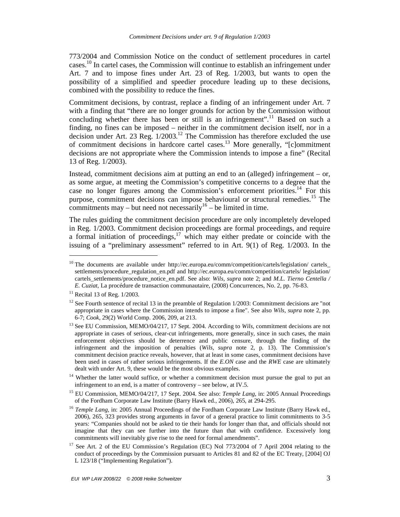773/2004 and Commission Notice on the conduct of settlement procedures in cartel cases.<sup>10</sup> In cartel cases, the Commission will continue to establish an infringement under Art. 7 and to impose fines under Art. 23 of Reg. 1/2003, but wants to open the possibility of a simplified and speedier procedure leading up to these decisions, combined with the possibility to reduce the fines.

Commitment decisions, by contrast, replace a finding of an infringement under Art. 7 with a finding that "there are no longer grounds for action by the Commission without concluding whether there has been or still is an infringement".<sup>11</sup> Based on such a finding, no fines can be imposed – neither in the commitment decision itself, nor in a decision under Art. 23 Reg.  $1/2003$ <sup>12</sup> The Commission has therefore excluded the use of commitment decisions in hardcore cartel cases.<sup>13</sup> More generally, "[c]ommitment decisions are not appropriate where the Commission intends to impose a fine" (Recital 13 of Reg. 1/2003).

Instead, commitment decisions aim at putting an end to an (alleged) infringement – or, as some argue, at meeting the Commission's competitive concerns to a degree that the case no longer figures among the Commission's enforcement priorities.<sup>14</sup> For this purpose, commitment decisions can impose behavioural or structural remedies.<sup>15</sup> The commitments may – but need not necessarily<sup>16</sup> – be limited in time.

The rules guiding the commitment decision procedure are only incompletely developed in Reg. 1/2003. Commitment decision proceedings are formal proceedings, and require a formal initiation of proceedings,<sup>17</sup> which may either predate or coincide with the issuing of a "preliminary assessment" referred to in Art. 9(1) of Reg. 1/2003. In the

<sup>&</sup>lt;sup>10</sup> The documents are available under http://ec.europa.eu/comm/competition/cartels/legislation/ cartels\_ settlements/procedure\_regulation\_en.pdf and http://ec.europa.eu/comm/competition/cartels/ legislation/ cartels\_settlements/procedure\_notice\_en.pdf. See also: *Wils, supra* note 2; and *M.L. Tierno Centella / E. Cuziat*, La procédure de transaction communautaire, (2008) Concurrences, No. 2, pp. 76-83.

 $11$  Recital 13 of Reg. 1/2003.

<sup>&</sup>lt;sup>12</sup> See Fourth sentence of recital 13 in the preamble of Regulation  $1/2003$ : Commitment decisions are "not appropriate in cases where the Commission intends to impose a fine". See also *Wils*, *supra* note 2, pp. 6-7; *Cook*, 29(2) World Comp. 2006, 209, at 213.

<sup>13</sup> See EU Commission, MEMO/04/217, 17 Sept. 2004. According to *Wils,* commitment decisions are not appropriate in cases of serious, clear-cut infringements, more generally, since in such cases, the main enforcement objectives should be deterrence and public censure, through the finding of the infringement and the imposition of penalties (*Wils*, *supra* note 2, p. 13). The Commission's commitment decision practice reveals, however, that at least in some cases, commitment decisions have been used in cases of rather serious infringements. If the *E.ON* case and the *RWE* case are ultimately dealt with under Art. 9, these would be the most obvious examples.

<sup>&</sup>lt;sup>14</sup> Whether the latter would suffice, or whether a commitment decision must pursue the goal to put an infringement to an end, is a matter of controversy – see below, at IV.5.

<sup>15</sup> EU Commission, MEMO/04/217, 17 Sept. 2004. See also: *Temple Lang,* in: 2005 Annual Proceedings of the Fordham Corporate Law Institute (Barry Hawk ed., 2006), 265, at 294-295.

<sup>&</sup>lt;sup>16</sup> *Temple Lang*, in: 2005 Annual Proceedings of the Fordham Corporate Law Institute (Barry Hawk ed., 2006), 265, 323 provides strong arguments in favor of a general practice to limit commitments to 3-5 years: "Companies should not be asked to tie their hands for longer than that, and officials should not imagine that they can see further into the future than that with confidence. Excessively long commitments will inevitably give rise to the need for formal amendments".

<sup>&</sup>lt;sup>17</sup> See Art. 2 of the EU Commission's Regulation (EC) Nol 773/2004 of 7 April 2004 relating to the conduct of proceedings by the Commission pursuant to Articles 81 and 82 of the EC Treaty, [2004] OJ L 123/18 ("Implementing Regulation").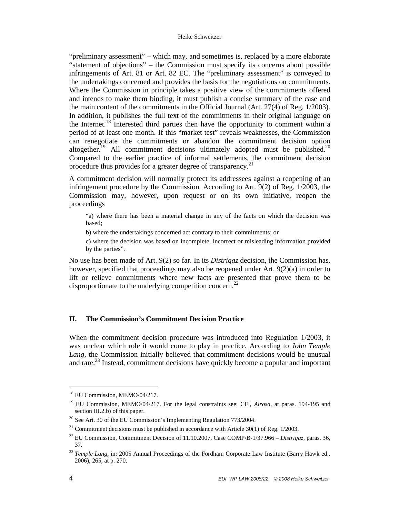"preliminary assessment" – which may, and sometimes is, replaced by a more elaborate "statement of objections" – the Commission must specify its concerns about possible infringements of Art. 81 or Art. 82 EC. The "preliminary assessment" is conveyed to the undertakings concerned and provides the basis for the negotiations on commitments. Where the Commission in principle takes a positive view of the commitments offered and intends to make them binding, it must publish a concise summary of the case and the main content of the commitments in the Official Journal (Art. 27(4) of Reg. 1/2003). In addition, it publishes the full text of the commitments in their original language on the Internet.<sup>18</sup> Interested third parties then have the opportunity to comment within a period of at least one month. If this "market test" reveals weaknesses, the Commission can renegotiate the commitments or abandon the commitment decision option altogether.<sup>19</sup> All commitment decisions ultimately adopted must be published.<sup>20</sup> Compared to the earlier practice of informal settlements, the commitment decision procedure thus provides for a greater degree of transparency.<sup>21</sup>

A commitment decision will normally protect its addressees against a reopening of an infringement procedure by the Commission. According to Art. 9(2) of Reg. 1/2003, the Commission may, however, upon request or on its own initiative, reopen the proceedings

"a) where there has been a material change in any of the facts on which the decision was based;

b) where the undertakings concerned act contrary to their commitments; or

c) where the decision was based on incomplete, incorrect or misleading information provided by the parties".

No use has been made of Art. 9(2) so far. In its *Distrigaz* decision, the Commission has, however, specified that proceedings may also be reopened under Art. 9(2)(a) in order to lift or relieve commitments where new facts are presented that prove them to be disproportionate to the underlying competition concern.<sup>22</sup>

#### **II. The Commission's Commitment Decision Practice**

When the commitment decision procedure was introduced into Regulation 1/2003, it was unclear which role it would come to play in practice. According to *John Temple Lang,* the Commission initially believed that commitment decisions would be unusual and rare.<sup>23</sup> Instead, commitment decisions have quickly become a popular and important

<sup>&</sup>lt;sup>18</sup> EU Commission, MEMO/04/217.

<sup>19</sup> EU Commission, MEMO/04/217. For the legal constraints see: CFI, *Alrosa*, at paras. 194-195 and section III.2.b) of this paper.

 $20$  See Art. 30 of the EU Commission's Implementing Regulation 773/2004.

<sup>&</sup>lt;sup>21</sup> Commitment decisions must be published in accordance with Article 30(1) of Reg.  $1/2003$ .

<sup>22</sup> EU Commission, Commitment Decision of 11.10.2007, Case COMP/B-1/37.966 – *Distrigaz*, paras. 36, 37.

<sup>&</sup>lt;sup>23</sup> Temple Lang, in: 2005 Annual Proceedings of the Fordham Corporate Law Institute (Barry Hawk ed., 2006), 265, at p. 270.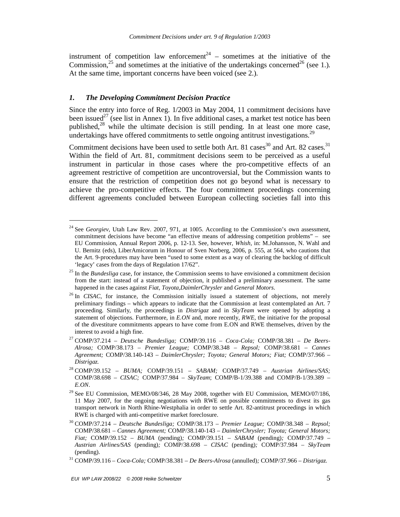instrument of competition law enforcement<sup>24</sup> – sometimes at the initiative of the Commission,<sup>25</sup> and sometimes at the initiative of the undertakings concerned<sup>26</sup> (see 1.). At the same time, important concerns have been voiced (see 2.).

#### *1. The Developing Commitment Decision Practice*

-

Since the entry into force of Reg. 1/2003 in May 2004, 11 commitment decisions have been issued<sup>27</sup> (see list in Annex 1). In five additional cases, a market test notice has been published, $^{28}$  while the ultimate decision is still pending. In at least one more case, undertakings have offered commitments to settle ongoing antitrust investigations.<sup>29</sup>

Commitment decisions have been used to settle both Art. 81 cases<sup>30</sup> and Art. 82 cases.<sup>31</sup> Within the field of Art. 81, commitment decisions seem to be perceived as a useful instrument in particular in those cases where the pro-competitive effects of an agreement restrictive of competition are uncontroversial, but the Commission wants to ensure that the restriction of competition does not go beyond what is necessary to achieve the pro-competitive effects. The four commitment proceedings concerning different agreements concluded between European collecting societies fall into this

<sup>&</sup>lt;sup>24</sup> See *Georgiev*, Utah Law Rev. 2007, 971, at 1005. According to the Commission's own assessment, commitment decisions have become "an effective means of addressing competition problems" – see EU Commission, Annual Report 2006, p. 12-13. See, however, *Whish,* in: M.Johansson, N. Wahl and U. Bernitz (eds), LiberAmicorum in Honour of Sven Norberg, 2006, p. 555, at 564, who cautions that the Art. 9-procedures may have been "used to some extent as a way of clearing the backlog of difficult 'legacy' cases from the days of Regulation 17/62".

<sup>&</sup>lt;sup>25</sup> In the *Bundesliga* case, for instance, the Commission seems to have envisioned a commitment decision from the start: instead of a statement of objection, it published a preliminary assessment. The same happened in the cases against *Fiat, Toyota,DaimlerChrysler* and *General Motors*.

<sup>&</sup>lt;sup>26</sup> In *CISAC*, for instance, the Commission initially issued a statement of objections, not merely preliminary findings – which appears to indicate that the Commission at least contemplated an Art. 7 proceeding. Similarly, the proceedings in *Distrigaz* and in *SkyTeam* were opened by adopting a statement of objections. Furthermore, in *E.ON* and, more recently, *RWE,* the initiative for the proposal of the divestiture commitments appears to have come from E.ON and RWE themselves, driven by the interest to avoid a high fine.

<sup>27</sup> COMP/37.214 – *Deutsche Bundesliga;* COMP/39.116 – *Coca-Cola;* COMP/38.381 – *De Beers-Alrosa;* COMP/38.173 – *Premier League;* COMP/38.348 – *Repsol;* COMP/38.681 – *Cannes Agreement;* COMP/38.140-143 – *DaimlerChrysler; Toyota; General Motors; Fiat;* COMP/37.966 – *Distrigaz.* 

<sup>28</sup> COMP/39.152 – *BUMA;* COMP/39.151 – *SABAM;* COMP/37.749 – *Austrian Airlines/SAS;*  COMP/38.698 – *CISAC;* COMP/37.984 – *SkyTeam*; COMP/B-1/39.388 and COMP/B-1/39.389 – *E.ON*.

 $^{29}$  See EU Commission, MEMO/08/346, 28 May 2008, together with EU Commission, MEMO/07/186, 11 May 2007, for the ongoing negotiations with RWE on possible commitments to divest its gas transport network in North Rhine-Westphalia in order to settle Art. 82-antitrust proceedings in which RWE is charged with anti-competitive market foreclosure.

<sup>30</sup> COMP/37.214 – *Deutsche Bundesliga;* COMP/38.173 – *Premier League;* COMP/38.348 – *Repsol;*  COMP/38.681 – *Cannes Agreement;* COMP/38.140-143 – *DaimlerChrysler; Toyota; General Motors; Fiat;* COMP/39.152 – *BUMA* (pending)*;* COMP/39.151 – *SABAM* (pending)*;* COMP/37.749 – *Austrian Airlines/SAS* (pending)*;* COMP/38.698 – *CISAC* (pending)*;* COMP/37.984 – *SkyTeam*  (pending).

<sup>31</sup> COMP/39.116 – *Coca-Cola;* COMP/38.381 – *De Beers-Alrosa* (annulled)*;* COMP/37.966 – *Distrigaz.*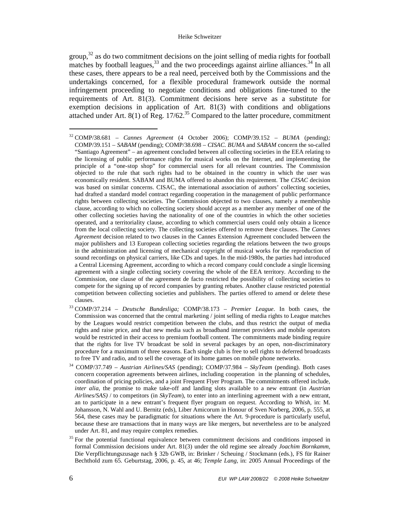group, $32$  as do two commitment decisions on the joint selling of media rights for football matches by football leagues, $33$  and the two proceedings against airline alliances. $34$  In all these cases, there appears to be a real need, perceived both by the Commissions and the undertakings concerned, for a flexible procedural framework outside the normal infringement proceeding to negotiate conditions and obligations fine-tuned to the requirements of Art. 81(3). Commitment decisions here serve as a substitute for exemption decisions in application of Art. 81(3) with conditions and obligations attached under Art. 8(1) of Reg.  $17/62$ .<sup>35</sup> Compared to the latter procedure, commitment

- <sup>33</sup> COMP/37.214 *Deutsche Bundesliga;* COMP/38.173 *Premier League*. In both cases, the Commission was concerned that the central marketing / joint selling of media rights to League matches by the Leagues would restrict competition between the clubs, and thus restrict the output of media rights and raise price, and that new media such as broadband internet providers and mobile operators would be restricted in their access to premium football content. The commitments made binding require that the rights for live TV broadcast be sold in several packages by an open, non-discriminatory procedure for a maximum of three seasons. Each single club is free to sell rights to deferred broadcasts to free TV and radio, and to sell the coverage of its home games on mobile phone networks.
- <sup>34</sup> COMP/37.749 *Austrian Airlines/SAS* (pending); COMP/37.984 *SkyTeam* (pending). Both cases concern cooperation agreements between airlines, including cooperation in the planning of schedules, coordination of pricing policies, and a joint Frequent Flyer Program. The commitments offered include, *inter alia*, the promise to make take-off and landing slots available to a new entrant (in *Austrian Airlines/SAS)* / to competitors (in *SkyTeam*), to enter into an interlining agreement with a new entrant, an to participate in a new entrant's frequent flyer program on request. According to *Whish,* in: M. Johansson, N. Wahl and U. Bernitz (eds), Liber Amicorum in Honour of Sven Norberg, 2006, p. 555, at 564, these cases may be paradigmatic for situations where the Art. 9-procedure is particularly useful, because these are transactions that in many ways are like mergers, but nevertheless are to be analyzed under Art. 81, and may require complex remedies.
- <sup>35</sup> For the potential functional equivalence between commitment decisions and conditions imposed in formal Commission decisions under Art. 81(3) under the old regime see already *Joachim Bornkamm,* Die Verpflichtungszusage nach § 32b GWB, in: Brinker / Scheuing / Stockmann (eds.), FS für Rainer Bechthold zum 65. Geburtstag, 2006, p. 45, at 46; *Temple Lang,* in: 2005 Annual Proceedings of the

<sup>32</sup> COMP/38.681 – *Cannes Agreement* (4 October 2006); COMP/39.152 – *BUMA* (pending)*;*  COMP/39.151 – *SABAM* (pending); COMP/38.698 – *CISAC. BUMA* and *SABAM* concern the so-called "Santiago Agreement" – an agreement concluded between all collecting societies in the EEA relating to the licensing of public performance rights for musical works on the Internet, and implementing the principle of a "one-stop shop" for commercial users for all relevant countries. The Commission objected to the rule that such rights had to be obtained in the country in which the user was economically resident. SABAM and BUMA offered to abandon this requirement. The *CISAC* decision was based on similar concerns. CISAC, the international association of authors' collecting societies, had drafted a standard model contract regarding cooperation in the management of public performance rights between collecting societies. The Commission objected to two clauses, namely a membership clause, according to which no collecting society should accept as a member any member of one of the other collecting societies having the nationality of one of the countries in which the other societies operated, and a territoriality clause, according to which commercial users could only obtain a licence from the local collecting society. The collecting societies offered to remove these clauses. The *Cannes Agreement* decision related to two clauses in the Cannes Extension Agreement concluded between the major publishers and 13 European collecting societies regarding the relations between the two groups in the administration and licensing of mechanical copyright of musical works for the reproduction of sound recordings on physical carriers, like CDs and tapes. In the mid-1980s, the parties had introduced a Central Licensing Agreement, according to which a record company could conclude a single licensing agreement with a single collecting society covering the whole of the EEA territory. According to the Commission, one clause of the agreement de facto restricted the possibility of collecting societies to compete for the signing up of record companies by granting rebates. Another clause restricted potential competition between collecting societies and publishers. The parties offered to amend or delete these clauses.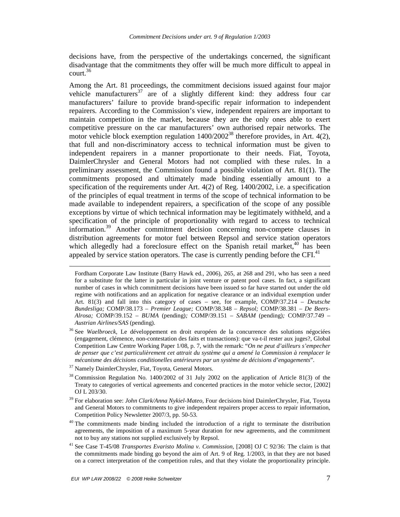decisions have, from the perspective of the undertakings concerned, the significant disadvantage that the commitments they offer will be much more difficult to appeal in court. $36$ 

Among the Art. 81 proceedings, the commitment decisions issued against four major vehicle manufacturers<sup>37</sup> are of a slightly different kind: they address four car manufacturers' failure to provide brand-specific repair information to independent repairers. According to the Commission's view, independent repairers are important to maintain competition in the market, because they are the only ones able to exert competitive pressure on the car manufacturers' own authorised repair networks. The motor vehicle block exemption regulation  $1400/2002^{38}$  therefore provides, in Art. 4(2), that full and non-discriminatory access to technical information must be given to independent repairers in a manner proportionate to their needs. Fiat, Toyota, DaimlerChrysler and General Motors had not complied with these rules. In a preliminary assessment, the Commission found a possible violation of Art. 81(1). The commitments proposed and ultimately made binding essentially amount to a specification of the requirements under Art. 4(2) of Reg. 1400/2002, i.e. a specification of the principles of equal treatment in terms of the scope of technical information to be made available to independent repairers, a specification of the scope of any possible exceptions by virtue of which technical information may be legitimately withheld, and a specification of the principle of proportionality with regard to access to technical information.<sup>39</sup> Another commitment decision concerning non-compete clauses in distribution agreements for motor fuel between Repsol and service station operators which allegedly had a foreclosure effect on the Spanish retail market,  $40$  has been appealed by service station operators. The case is currently pending before the CFI. $41$ 

<sup>37</sup> Namely DaimlerChrysler, Fiat, Toyota, General Motors.

 $\overline{a}$ 

Fordham Corporate Law Institute (Barry Hawk ed., 2006), 265, at 268 and 291, who has seen a need for a substitute for the latter in particular in joint venture or patent pool cases. In fact, a significant number of cases in which commitment decisions have been issued so far have started out under the old regime with notifications and an application for negative clearance or an individual exemption under Art. 81(3) and fall into this category of cases – see, for example, COMP/37.214 – *Deutsche Bundesliga;* COMP/38.173 – *Premier League;* COMP/38.348 – *Repsol;* COMP/38.381 – *De Beers-Alrosa;* COMP/39.152 – *BUMA* (pending)*;* COMP/39.151 – *SABAM* (pending)*;* COMP/37.749 – *Austrian Airlines/SAS* (pending)*.* 

<sup>36</sup> See *Waelbroeck,* Le développement en droit européen de la concurrence des solutions négociées (engagement, clémence, non-contestation des faits et transactions): que va-t-il rester aux juges?, Global Competition Law Centre Working Paper 1/08, p. 7, with the remark: "*On ne peut d'ailleurs s'empecher de penser que c'est particulièrement cet attrait du système qui a amené la Commission à remplacer le mécanisme des décisions conditionelles antérieures par un système de décisions d'engagements*".

<sup>38</sup> Commission Regulation No. 1400/2002 of 31 July 2002 on the application of Article 81(3) of the Treaty to categories of vertical agreements and concerted practices in the motor vehicle sector, [2002] OJ L 203/30.

<sup>39</sup> For elaboration see: *John Clark/Anna Nykiel-Mateo,* Four decisions bind DaimlerChrysler, Fiat, Toyota and General Motors to commitments to give independent repairers proper access to repair information, Competition Policy Newsletter 2007/3, pp. 50-53.

<sup>&</sup>lt;sup>40</sup> The commitments made binding included the introduction of a right to terminate the distribution agreements, the imposition of a maximum 5-year duration for new agreements, and the commitment not to buy any stations not supplied exclusively by Repsol.

<sup>41</sup> See Case T-45/08 *Transportes Evaristo Molina v. Commission,* [2008] OJ C 92/36: The claim is that the commitments made binding go beyond the aim of Art. 9 of Reg. 1/2003, in that they are not based on a correct interpretation of the competition rules, and that they violate the proportionality principle.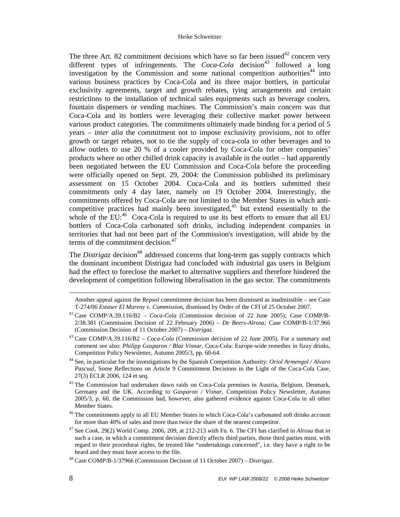The three Art. 82 commitment decisions which have so far been issued<sup>42</sup> concern very different types of infringements. The  $Coca-Cola$  decision<sup>43</sup> followed a long investigation by the Commission and some national competition authorities<sup>44</sup> into various business practices by Coca-Cola and its three major bottlers, in particular exclusivity agreements, target and growth rebates, tying arrangements and certain restrictions to the installation of technical sales equipments such as beverage coolers, fountain dispensers or vending machines. The Commission's main concern was that Coca-Cola and its bottlers were leveraging their collective market power between various product categories. The commitments ultimately made binding for a period of 5 years – *inter alia* the commitment not to impose exclusivity provisions, not to offer growth or target rebates, not to tie the supply of coca-cola to other beverages and to allow outlets to use 20 % of a cooler provided by Coca-Cola for other companies' products where no other chilled drink capacity is available in the outlet – had apparently been negotiated between the EU Commission and Coca-Cola before the proceeding were officially opened on Sept. 29, 2004: the Commission published its preliminary assessment on 15 October 2004. Coca-Cola and its bottlers submitted their commitments only 4 day later, namely on 19 October 2004. Interestingly, the commitments offered by Coca-Cola are not limited to the Member States in which anticompetitive practices had mainly been investigated,  $45$  but extend essentially to the whole of the EU:<sup>46</sup> Coca-Cola is required to use its best efforts to ensure that all EU bottlers of Coca-Cola carbonated soft drinks, including independent companies in territories that had not been part of the Commission's investigation, will abide by the terms of the commitment decision. $47$ 

The *Distrigaz* decision<sup>48</sup> addressed concerns that long-term gas supply contracts which the dominant incumbent Distrigaz had concluded with industrial gas users in Belgium had the effect to foreclose the market to alternative suppliers and therefore hindered the development of competition following liberalisation in the gas sector. The commitments

 $\overline{a}$ 

Another appeal against the *Repsol* commitment decision has been dismissed as inadmissible – see Case T-274/06 *Estaser El Mareny v. Commission,* dismissed by Order of the CFI of 25 October 2007.

<sup>42</sup> Case COMP/A.39.116/B2 – *Coca-Cola* (Commission decision of 22 June 2005)*;* Case COMP/B-2/38.381 (Commission Decision of 22 February 2006) – *De Beers-Alrosa;* Case COMP/B-1/37.966 (Commission Decision of 11 October 2007) – *Distrigaz.* 

<sup>43</sup> Case COMP/A.39.116/B2 – *Coca-Cola* (Commission decision of 22 June 2005). For a summary and comment see also: *Philipp Gasparon / Blaz Visnar,* Coca-Cola: Europe-wide remedies in fizzy drinks, Competition Policy Newsletter, Autumn 2005/3, pp. 60-64.

<sup>44</sup> See, in particular for the investigations by the Spanish Competition Authority: *Oriol Armengol / Alvaro Pascual,* Some Reflections on Article 9 Commitment Decisions in the Light of the Coca-Cola Case, 27(3) ECLR 2006, 124 et seq.

<sup>&</sup>lt;sup>45</sup> The Commission had undertaken dawn raids on Coca-Cola premises in Austria, Belgium, Denmark, Germany and the UK. According to *Gasparon / Visnar,* Competition Policy Newsletter, Autumn 2005/3, p. 60, the Commission had, however, also gathered evidence against Coca-Cola in all other Member States.

<sup>&</sup>lt;sup>46</sup> The commitments apply in all EU Member States in which Coca-Cola's carbonated soft drinks account for more than 40% of sales and more than twice the share of the nearest competitor.

<sup>47</sup> See *Cook*, 29(2) World Comp. 2006, 209, at 212-213 with Fn. 6. The CFI has clarified in *Alrosa* that in such a case, in which a commitment decision directly affects third parties, those third parties must, with regard to their procedural rights, be treated like "undertakings concerned", i.e. they have a right to be heard and they must have access to the file.

<sup>48</sup> Case COMP/B-1/37966 (Commission Decision of 11 October 2007) – *Distrigaz*.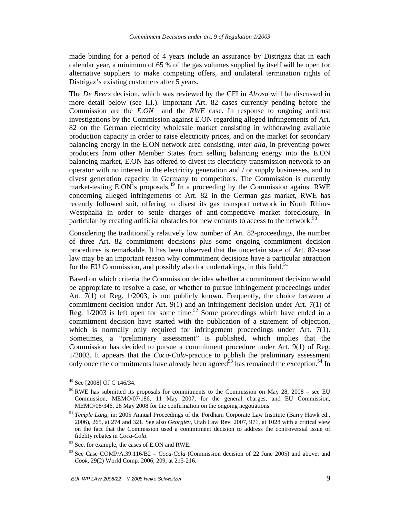made binding for a period of 4 years include an assurance by Distrigaz that in each calendar year, a minimum of 65 % of the gas volumes supplied by itself will be open for alternative suppliers to make competing offers, and unilateral termination rights of Distrigaz's existing customers after 5 years.

The *De Beers* decision, which was reviewed by the CFI in *Alrosa* will be discussed in more detail below (see III.). Important Art. 82 cases currently pending before the Commission are the *E.ON* and the *RWE* case. In response to ongoing antitrust investigations by the Commission against E.ON regarding alleged infringements of Art. 82 on the German electricity wholesale market consisting in withdrawing available production capacity in order to raise electricity prices, and on the market for secondary balancing energy in the E.ON network area consisting, *inter alia,* in preventing power producers from other Member States from selling balancing energy into the E.ON balancing market, E.ON has offered to divest its electricity transmission network to an operator with no interest in the electricity generation and / or supply businesses, and to divest generation capacity in Germany to competitors. The Commission is currently market-testing E.ON's proposals.<sup>49</sup> In a proceeding by the Commission against RWE concerning alleged infringements of Art. 82 in the German gas market, RWE has recently followed suit, offering to divest its gas transport network in North Rhine-Westphalia in order to settle charges of anti-competitive market foreclosure, in particular by creating artificial obstacles for new entrants to access to the network.<sup>50</sup>

Considering the traditionally relatively low number of Art. 82-proceedings, the number of three Art. 82 commitment decisions plus some ongoing commitment decision procedures is remarkable. It has been observed that the uncertain state of Art. 82-case law may be an important reason why commitment decisions have a particular attraction for the EU Commission, and possibly also for undertakings, in this field.<sup>51</sup>

Based on which criteria the Commission decides whether a commitment decision would be appropriate to resolve a case, or whether to pursue infringement proceedings under Art. 7(1) of Reg. 1/2003, is not publicly known. Frequently, the choice between a commitment decision under Art. 9(1) and an infringement decision under Art. 7(1) of Reg.  $1/2003$  is left open for some time.<sup>52</sup> Some proceedings which have ended in a commitment decision have started with the publication of a statement of objection, which is normally only required for infringement proceedings under Art. 7(1). Sometimes, a "preliminary assessment" is published, which implies that the Commission has decided to pursue a commitment procedure under Art. 9(1) of Reg. 1/2003. It appears that the *Coca-Cola-*practice to publish the preliminary assessment only once the commitments have already been agreed<sup>53</sup> has remained the exception.<sup>54</sup> In

<sup>&</sup>lt;sup>49</sup> See [2008] OJ C 146/34.

<sup>&</sup>lt;sup>50</sup> RWE has submitted its proposals for commitments to the Commission on May 28, 2008 – see EU Commission, MEMO/07/186, 11 May 2007, for the general charges, and EU Commission, MEMO/08/346, 28 May 2008 for the confirmation on the ongoing negotiations.

<sup>51</sup> *Temple Lang,* in: 2005 Annual Proceedings of the Fordham Corporate Law Institute (Barry Hawk ed., 2006), 265, at 274 and 321. See also *Georgiev,* Utah Law Rev. 2007, 971, at 1028 with a critical view on the fact that the Commission used a commitment decision to address the controversial issue of fidelity rebates in *Coca-Cola*.

<sup>52</sup> See, for example, the cases of E.ON and RWE.

<sup>53</sup> See Case COMP/A.39.116/B2 – *Coca-Cola* (Commission decision of 22 June 2005) and above; and *Cook*, 29(2) World Comp. 2006, 209, at 215-216.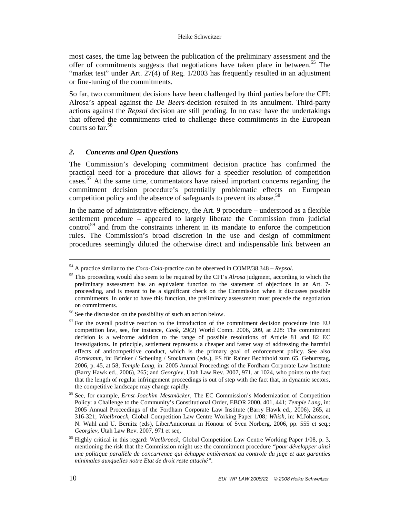#### Heike Schweitzer

most cases, the time lag between the publication of the preliminary assessment and the offer of commitments suggests that negotiations have taken place in between.<sup>55</sup> The "market test" under Art. 27(4) of Reg. 1/2003 has frequently resulted in an adjustment or fine-tuning of the commitments.

So far, two commitment decisions have been challenged by third parties before the CFI: Alrosa's appeal against the *De Beers*-decision resulted in its annulment. Third-party actions against the *Repsol* decision are still pending. In no case have the undertakings that offered the commitments tried to challenge these commitments in the European courts so far.<sup>56</sup>

## *2. Concerns and Open Questions*

The Commission's developing commitment decision practice has confirmed the practical need for a procedure that allows for a speedier resolution of competition cases.<sup>57</sup> At the same time, commentators have raised important concerns regarding the commitment decision procedure's potentially problematic effects on European competition policy and the absence of safeguards to prevent its abuse.<sup>58</sup>

In the name of administrative efficiency, the Art. 9 procedure – understood as a flexible settlement procedure – appeared to largely liberate the Commission from judicial control<sup>59</sup> and from the constraints inherent in its mandate to enforce the competition rules. The Commission's broad discretion in the use and design of commitment procedures seemingly diluted the otherwise direct and indispensable link between an

 $\overline{a}$ 

<sup>54</sup> A practice similar to the *Coca-Cola-*practice can be observed in COMP/38.348 – *Repsol*.

<sup>55</sup> This proceeding would also seem to be required by the CFI's *Alrosa* judgment, according to which the preliminary assessment has an equivalent function to the statement of objections in an Art. 7 proceeding, and is meant to be a significant check on the Commission when it discusses possible commitments. In order to have this function, the preliminary assessment must precede the negotiation on commitments.

<sup>56</sup> See the discussion on the possibility of such an action below.

 $57$  For the overall positive reaction to the introduction of the commitment decision procedure into EU competition law, see, for instance, *Cook*, 29(2) World Comp. 2006, 209, at 228: The commitment decision is a welcome addition to the range of possible resolutions of Article 81 and 82 EC investigations. In principle, settlement represents a cheaper and faster way of addressing the harmful effects of anticompetitive conduct, which is the primary goal of enforcement policy. See also *Bornkamm,* in: Brinker / Scheuing / Stockmann (eds.), FS für Rainer Bechthold zum 65. Geburtstag, 2006, p. 45, at 58; *Temple Lang,* in: 2005 Annual Proceedings of the Fordham Corporate Law Institute (Barry Hawk ed., 2006), 265; and *Georgiev,* Utah Law Rev. 2007, 971, at 1024, who points to the fact that the length of regular infringement proceedings is out of step with the fact that, in dynamic sectors, the competitive landscape may change rapidly.

<sup>58</sup> See, for example, *Ernst-Joachim Mestmäcker,* The EC Commission's Modernization of Competition Policy: a Challenge to the Community's Constitutional Order, EBOR 2000, 401, 441; *Temple Lang,* in: 2005 Annual Proceedings of the Fordham Corporate Law Institute (Barry Hawk ed., 2006), 265, at 316-321; *Waelbroeck,* Global Competition Law Centre Working Paper 1/08*; Whish,* in: M.Johansson, N. Wahl and U. Bernitz (eds), LiberAmicorum in Honour of Sven Norberg, 2006, pp. 555 et seq.; *Georgiev,* Utah Law Rev. 2007, 971 et seq.

<sup>59</sup> Highly critical in this regard: *Waelbroeck,* Global Competition Law Centre Working Paper 1/08, p. 3, mentioning the risk that the Commission might use the commitment procedure *"pour développer ainsi une politique parallèle de concurrence qui échappe entièrement au controle du juge et aux garanties minimales auxquelles notre Etat de droit reste attaché".*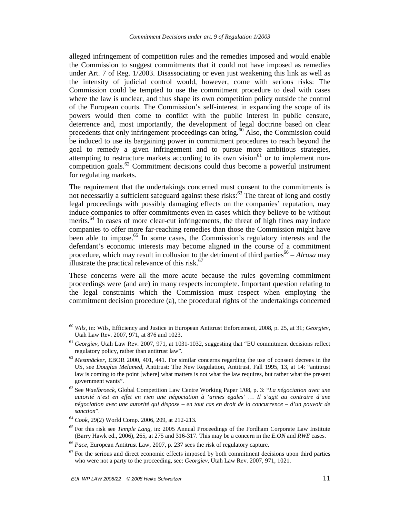alleged infringement of competition rules and the remedies imposed and would enable the Commission to suggest commitments that it could not have imposed as remedies under Art. 7 of Reg. 1/2003. Disassociating or even just weakening this link as well as the intensity of judicial control would, however, come with serious risks: The Commission could be tempted to use the commitment procedure to deal with cases where the law is unclear, and thus shape its own competition policy outside the control of the European courts. The Commission's self-interest in expanding the scope of its powers would then come to conflict with the public interest in public censure, deterrence and, most importantly, the development of legal doctrine based on clear precedents that only infringement proceedings can bring.<sup>60</sup> Also, the Commission could be induced to use its bargaining power in commitment procedures to reach beyond the goal to remedy a given infringement and to pursue more ambitious strategies, attempting to restructure markets according to its own vision<sup>61</sup> or to implement noncompetition goals.<sup>62</sup> Commitment decisions could thus become a powerful instrument for regulating markets.

The requirement that the undertakings concerned must consent to the commitments is not necessarily a sufficient safeguard against these risks: $63$  The threat of long and costly legal proceedings with possibly damaging effects on the companies' reputation, may induce companies to offer commitments even in cases which they believe to be without merits.<sup>64</sup> In cases of more clear-cut infringements, the threat of high fines may induce companies to offer more far-reaching remedies than those the Commission might have been able to impose.<sup>65</sup> In some cases, the Commission's regulatory interests and the defendant's economic interests may become aligned in the course of a commitment procedure, which may result in collusion to the detriment of third parties<sup>66</sup> – *Alrosa* may illustrate the practical relevance of this risk. $67$ 

These concerns were all the more acute because the rules governing commitment proceedings were (and are) in many respects incomplete. Important question relating to the legal constraints which the Commission must respect when employing the commitment decision procedure (a), the procedural rights of the undertakings concerned

<sup>60</sup> *Wils*, in: Wils, Efficiency and Justice in European Antitrust Enforcement, 2008, p. 25, at 31; *Georgiev,* Utah Law Rev. 2007, 971, at 876 and 1023.

<sup>61</sup> *Georgiev,* Utah Law Rev. 2007, 971, at 1031-1032, suggesting that "EU commitment decisions reflect regulatory policy, rather than antitrust law".

<sup>62</sup> *Mestmäcker,* EBOR 2000, 401, 441. For similar concerns regarding the use of consent decrees in the US, see *Douglas Melamed,* Antitrust: The New Regulation, Antitrust, Fall 1995, 13, at 14: "antitrust law is coming to the point [where] what matters is not what the law requires, but rather what the present government wants".

<sup>63</sup> See *Waelbroeck,* Global Competition Law Centre Working Paper 1/08, p. 3: "*La négociation avec une autorité n'est en effet en rien une négociation à 'armes égales' … Il s'agit au contraire d'une négociation avec une autorité qui dispose – en tout cas en droit de la concurrence – d'un pouvoir de sanction*".

<sup>64</sup> *Cook*, 29(2) World Comp. 2006, 209, at 212-213.

<sup>65</sup> For this risk see *Temple Lang,* in: 2005 Annual Proceedings of the Fordham Corporate Law Institute (Barry Hawk ed., 2006), 265, at 275 and 316-317. This may be a concern in the *E.ON* and *RWE* cases.

<sup>66</sup> *Pace,* European Antitrust Law, 2007, p. 237 sees the risk of regulatory capture.

 $<sup>67</sup>$  For the serious and direct economic effects imposed by both commitment decisions upon third parties</sup> who were not a party to the proceeding, see: *Georgiev,* Utah Law Rev. 2007, 971, 1021.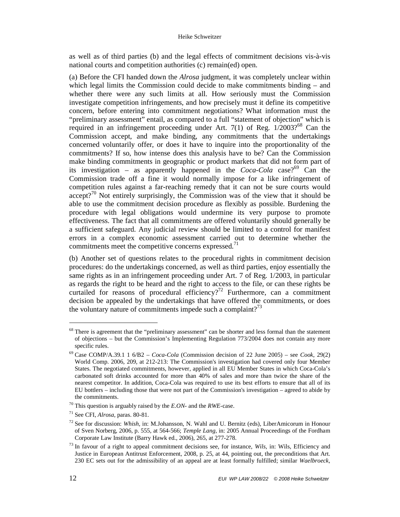as well as of third parties (b) and the legal effects of commitment decisions vis-à-vis national courts and competition authorities (c) remain(ed) open.

(a) Before the CFI handed down the *Alrosa* judgment, it was completely unclear within which legal limits the Commission could decide to make commitments binding – and whether there were any such limits at all. How seriously must the Commission investigate competition infringements, and how precisely must it define its competitive concern, before entering into commitment negotiations? What information must the "preliminary assessment" entail, as compared to a full "statement of objection" which is required in an infringement proceeding under Art. 7(1) of Reg.  $1/2003$ ?<sup>68</sup> Can the Commission accept, and make binding, any commitments that the undertakings concerned voluntarily offer, or does it have to inquire into the proportionality of the commitments? If so, how intense does this analysis have to be? Can the Commission make binding commitments in geographic or product markets that did not form part of its investigation – as apparently happened in the  $Coca-Cola$  case?<sup>69</sup> Can the Commission trade off a fine it would normally impose for a like infringement of competition rules against a far-reaching remedy that it can not be sure courts would accept?<sup>70</sup> Not entirely surprisingly, the Commission was of the view that it should be able to use the commitment decision procedure as flexibly as possible. Burdening the procedure with legal obligations would undermine its very purpose to promote effectiveness. The fact that all commitments are offered voluntarily should generally be a sufficient safeguard. Any judicial review should be limited to a control for manifest errors in a complex economic assessment carried out to determine whether the commitments meet the competitive concerns expressed. $71$ 

(b) Another set of questions relates to the procedural rights in commitment decision procedures: do the undertakings concerned, as well as third parties, enjoy essentially the same rights as in an infringement proceeding under Art. 7 of Reg. 1/2003, in particular as regards the right to be heard and the right to access to the file, or can these rights be curtailed for reasons of procedural efficiency?<sup>72</sup> Furthermore, can a commitment decision be appealed by the undertakings that have offered the commitments, or does the voluntary nature of commitments impede such a complaint?<sup>73</sup>

<sup>&</sup>lt;sup>68</sup> There is agreement that the "preliminary assessment" can be shorter and less formal than the statement of objections – but the Commission's Implementing Regulation 773/2004 does not contain any more specific rules.

<sup>69</sup> Case COMP/A.39.1 1 6/B2 – *Coca-Cola* (Commission decision of 22 June 2005) – see *Cook*, 29(2) World Comp. 2006, 209, at 212-213: The Commission's investigation had covered only four Member States. The negotiated commitments, however, applied in all EU Member States in which Coca-Cola's carbonated soft drinks accounted for more than 40% of sales and more than twice the share of the nearest competitor. In addition, Coca-Cola was required to use its best efforts to ensure that all of its EU bottlers – including those that were not part of the Commission's investigation – agreed to abide by the commitments.

<sup>70</sup> This question is arguably raised by the *E.ON*- and the *RWE-*case.

<sup>71</sup> See CFI, *Alrosa,* paras. 80-81.

<sup>72</sup> See for discussion: *Whish,* in: M.Johansson, N. Wahl and U. Bernitz (eds), LiberAmicorum in Honour of Sven Norberg, 2006, p. 555, at 564-566; *Temple Lang,* in: 2005 Annual Proceedings of the Fordham Corporate Law Institute (Barry Hawk ed., 2006), 265, at 277-278.

<sup>73</sup> In favour of a right to appeal commitment decisions see, for instance, *Wils*, in: Wils, Efficiency and Justice in European Antitrust Enforcement, 2008, p. 25, at 44, pointing out, the preconditions that Art. 230 EC sets out for the admissibility of an appeal are at least formally fulfilled; similar *Waelbroeck,*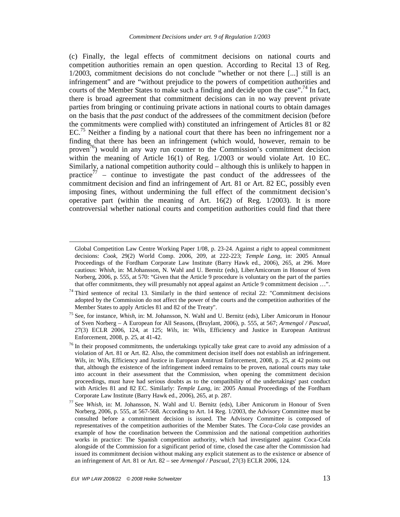(c) Finally, the legal effects of commitment decisions on national courts and competition authorities remain an open question. According to Recital 13 of Reg. 1/2003, commitment decisions do not conclude "whether or not there [...] still is an infringement" and are "without prejudice to the powers of competition authorities and courts of the Member States to make such a finding and decide upon the case".<sup>74</sup> In fact, there is broad agreement that commitment decisions can in no way prevent private parties from bringing or continuing private actions in national courts to obtain damages on the basis that the *past* conduct of the addressees of the commitment decision (before the commitments were complied with) constituted an infringement of Articles 81 or 82  $EC<sup>75</sup>$  Neither a finding by a national court that there has been no infringement nor a finding that there has been an infringement (which would, however, remain to be proven<sup>76</sup>) would in any way run counter to the Commission's commitment decision within the meaning of Article 16(1) of Reg. 1/2003 or would violate Art. 10 EC. Similarly, a national competition authority could – although this is unlikely to happen in practice<sup>77</sup> – continue to investigate the past conduct of the addressees of the commitment decision and find an infringement of Art. 81 or Art. 82 EC, possibly even imposing fines, without undermining the full effect of the commitment decision's operative part (within the meaning of Art. 16(2) of Reg. 1/2003). It is more controversial whether national courts and competition authorities could find that there

 $\overline{a}$ 

Global Competition Law Centre Working Paper 1/08, p. 23-24. Against a right to appeal commitment decisions: *Cook*, 29(2) World Comp. 2006, 209, at 222-223; *Temple Lang,* in: 2005 Annual Proceedings of the Fordham Corporate Law Institute (Barry Hawk ed., 2006), 265, at 296. More cautious: *Whish*, in: M.Johansson, N. Wahl and U. Bernitz (eds), LiberAmicorum in Honour of Sven Norberg, 2006, p. 555, at 570: "Given that the Article 9 procedure is voluntary on the part of the parties that offer commitments, they will presumably not appeal against an Article 9 commitment decision …".

 $74$  Third sentence of recital 13. Similarly in the third sentence of recital 22: "Commitment decisions adopted by the Commission do not affect the power of the courts and the competition authorities of the Member States to apply Articles 81 and 82 of the Treaty".

<sup>75</sup> See, for instance, *Whish*, in: M. Johansson, N. Wahl and U. Bernitz (eds), Liber Amicorum in Honour of Sven Norberg – A European for All Seasons, (Bruylant, 2006), p. 555, at 567; *Armengol / Pascual,* 27(3) ECLR 2006, 124, at 125; *Wils*, in: Wils, Efficiency and Justice in European Antitrust Enforcement, 2008, p. 25, at 41-42.

<sup>&</sup>lt;sup>76</sup> In their proposed commitments, the undertakings typically take great care to avoid any admission of a violation of Art. 81 or Art. 82. Also, the commitment decision itself does not establish an infringement. *Wils*, in: Wils, Efficiency and Justice in European Antitrust Enforcement, 2008, p. 25, at 42 points out that, although the existence of the infringement indeed remains to be proven, national courts may take into account in their assessment that the Commission, when opening the commitment decision proceedings, must have had serious doubts as to the compatibility of the undertakings' past conduct with Articles 81 and 82 EC. Similarly: *Temple Lang,* in: 2005 Annual Proceedings of the Fordham Corporate Law Institute (Barry Hawk ed., 2006), 265, at p. 287.

<sup>77</sup> See *Whish*, in: M. Johansson, N. Wahl and U. Bernitz (eds), Liber Amicorum in Honour of Sven Norberg, 2006, p. 555, at 567-568. According to Art. 14 Reg. 1/2003, the Advisory Committee must be consulted before a commitment decision is issued. The Advisory Committee is composed of representatives of the competition authorities of the Member States. The *Coca-Cola* case provides an example of how the coordination between the Commission and the national competition authorities works in practice: The Spanish competition authority, which had investigated against Coca-Cola alongside of the Commission for a significant period of time, closed the case after the Commission had issued its commitment decision without making any explicit statement as to the existence or absence of an infringement of Art. 81 or Art. 82 – see *Armengol / Pascual,* 27(3) ECLR 2006, 124.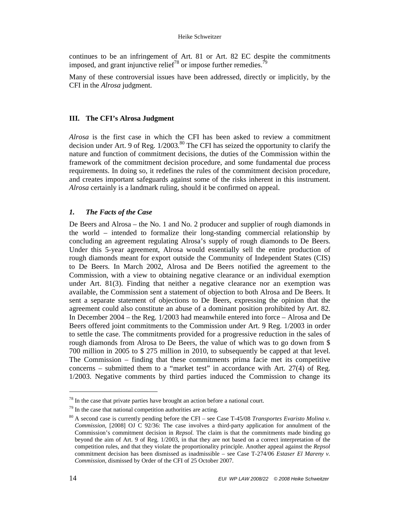#### Heike Schweitzer

continues to be an infringement of Art. 81 or Art. 82 EC despite the commitments imposed, and grant injunctive relief<sup>78</sup> or impose further remedies.

Many of these controversial issues have been addressed, directly or implicitly, by the CFI in the *Alrosa* judgment.

## **III. The CFI's Alrosa Judgment**

*Alrosa* is the first case in which the CFI has been asked to review a commitment decision under Art. 9 of Reg.  $1/2003$ .<sup>80</sup> The CFI has seized the opportunity to clarify the nature and function of commitment decisions, the duties of the Commission within the framework of the commitment decision procedure, and some fundamental due process requirements. In doing so, it redefines the rules of the commitment decision procedure, and creates important safeguards against some of the risks inherent in this instrument. *Alrosa* certainly is a landmark ruling, should it be confirmed on appeal.

## *1. The Facts of the Case*

De Beers and Alrosa – the No. 1 and No. 2 producer and supplier of rough diamonds in the world – intended to formalize their long-standing commercial relationship by concluding an agreement regulating Alrosa's supply of rough diamonds to De Beers. Under this 5-year agreement, Alrosa would essentially sell the entire production of rough diamonds meant for export outside the Community of Independent States (CIS) to De Beers. In March 2002, Alrosa and De Beers notified the agreement to the Commission, with a view to obtaining negative clearance or an individual exemption under Art. 81(3). Finding that neither a negative clearance nor an exemption was available, the Commission sent a statement of objection to both Alrosa and De Beers. It sent a separate statement of objections to De Beers, expressing the opinion that the agreement could also constitute an abuse of a dominant position prohibited by Art. 82. In December 2004 – the Reg. 1/2003 had meanwhile entered into force – Alrosa and De Beers offered joint commitments to the Commission under Art. 9 Reg. 1/2003 in order to settle the case. The commitments provided for a progressive reduction in the sales of rough diamonds from Alrosa to De Beers, the value of which was to go down from \$ 700 million in 2005 to \$ 275 million in 2010, to subsequently be capped at that level. The Commission – finding that these commitments prima facie met its competitive concerns – submitted them to a "market test" in accordance with Art. 27(4) of Reg. 1/2003. Negative comments by third parties induced the Commission to change its

 $78$  In the case that private parties have brought an action before a national court.

 $79$  In the case that national competition authorities are acting.

<sup>80</sup> A second case is currently pending before the CFI – see Case T-45/08 *Transportes Evaristo Molina v. Commission,* [2008] OJ C 92/36: The case involves a third-party application for annulment of the Commission's commitment decision in *Repsol*. The claim is that the commitments made binding go beyond the aim of Art. 9 of Reg. 1/2003, in that they are not based on a correct interpretation of the competition rules, and that they violate the proportionality principle. Another appeal against the *Repsol* commitment decision has been dismissed as inadmissible – see Case T-274/06 *Estaser El Mareny v. Commission,* dismissed by Order of the CFI of 25 October 2007.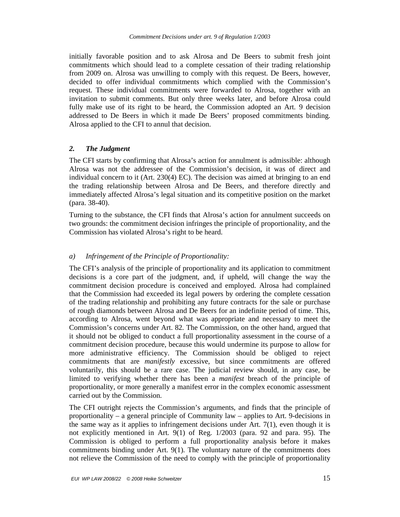initially favorable position and to ask Alrosa and De Beers to submit fresh joint commitments which should lead to a complete cessation of their trading relationship from 2009 on. Alrosa was unwilling to comply with this request. De Beers, however, decided to offer individual commitments which complied with the Commission's request. These individual commitments were forwarded to Alrosa, together with an invitation to submit comments. But only three weeks later, and before Alrosa could fully make use of its right to be heard, the Commission adopted an Art. 9 decision addressed to De Beers in which it made De Beers' proposed commitments binding. Alrosa applied to the CFI to annul that decision.

## *2. The Judgment*

The CFI starts by confirming that Alrosa's action for annulment is admissible: although Alrosa was not the addressee of the Commission's decision, it was of direct and individual concern to it (Art. 230(4) EC). The decision was aimed at bringing to an end the trading relationship between Alrosa and De Beers, and therefore directly and immediately affected Alrosa's legal situation and its competitive position on the market (para. 38-40).

Turning to the substance, the CFI finds that Alrosa's action for annulment succeeds on two grounds: the commitment decision infringes the principle of proportionality, and the Commission has violated Alrosa's right to be heard.

## *a) Infringement of the Principle of Proportionality:*

The CFI's analysis of the principle of proportionality and its application to commitment decisions is a core part of the judgment, and, if upheld, will change the way the commitment decision procedure is conceived and employed. Alrosa had complained that the Commission had exceeded its legal powers by ordering the complete cessation of the trading relationship and prohibiting any future contracts for the sale or purchase of rough diamonds between Alrosa and De Beers for an indefinite period of time. This, according to Alrosa, went beyond what was appropriate and necessary to meet the Commission's concerns under Art. 82. The Commission, on the other hand, argued that it should not be obliged to conduct a full proportionality assessment in the course of a commitment decision procedure, because this would undermine its purpose to allow for more administrative efficiency. The Commission should be obliged to reject commitments that are *manifestly* excessive, but since commitments are offered voluntarily, this should be a rare case. The judicial review should, in any case, be limited to verifying whether there has been a *manifest* breach of the principle of proportionality, or more generally a manifest error in the complex economic assessment carried out by the Commission.

The CFI outright rejects the Commission's arguments, and finds that the principle of proportionality – a general principle of Community law – applies to Art. 9-decisions in the same way as it applies to infringement decisions under Art.  $7(1)$ , even though it is not explicitly mentioned in Art. 9(1) of Reg. 1/2003 (para. 92 and para. 95). The Commission is obliged to perform a full proportionality analysis before it makes commitments binding under Art. 9(1). The voluntary nature of the commitments does not relieve the Commission of the need to comply with the principle of proportionality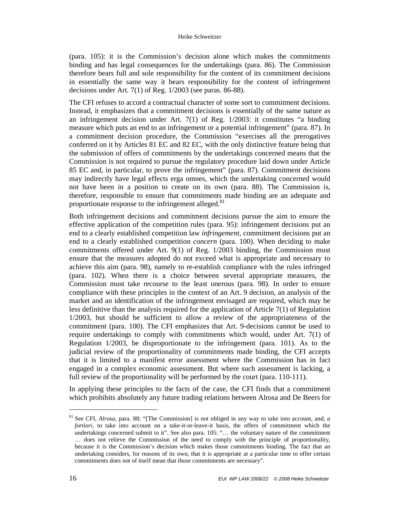(para. 105): it is the Commission's decision alone which makes the commitments binding and has legal consequences for the undertakings (para. 86). The Commission therefore bears full and sole responsibility for the content of its commitment decisions in essentially the same way it bears responsibility for the content of infringement decisions under Art. 7(1) of Reg. 1/2003 (see paras. 86-88).

The CFI refuses to accord a contractual character of some sort to commitment decisions. Instead, it emphasizes that a commitment decisions is essentially of the same nature as an infringement decision under Art. 7(1) of Reg. 1/2003: it constitutes "a binding measure which puts an end to an infringement or a potential infringement" (para. 87). In a commitment decision procedure, the Commission "exercises all the prerogatives conferred on it by Articles 81 EC and 82 EC, with the only distinctive feature being that the submission of offers of commitments by the undertakings concerned means that the Commission is not required to pursue the regulatory procedure laid down under Article 85 EC and, in particular, to prove the infringement" (para. 87). Commitment decisions may indirectly have legal effects erga omnes, which the undertaking concerned would not have been in a position to create on its own (para. 88). The Commission is, therefore, responsible to ensure that commitments made binding are an adequate and proportionate response to the infringement alleged.<sup>81</sup>

Both infringement decisions and commitment decisions pursue the aim to ensure the effective application of the competition rules (para. 95): infringement decisions put an end to a clearly established competition law *infringement*, commitment decisions put an end to a clearly established competition *concern* (para. 100). When deciding to make commitments offered under Art. 9(1) of Reg. 1/2003 binding, the Commission must ensure that the measures adopted do not exceed what is appropriate and necessary to achieve this aim (para. 98), namely to re-establish compliance with the rules infringed (para. 102). When there is a choice between several appropriate measures, the Commission must take recourse to the least onerous (para. 98). In order to ensure compliance with these principles in the context of an Art. 9 decision, an analysis of the market and an identification of the infringement envisaged are required, which may be less definitive than the analysis required for the application of Article 7(1) of Regulation 1/2003, but should be sufficient to allow a review of the appropriateness of the commitment (para. 100). The CFI emphasizes that Art. 9-decisions cannot be used to require undertakings to comply with commitments which would, under Art. 7(1) of Regulation 1/2003, be disproportionate to the infringement (para. 101). As to the judicial review of the proportionality of commitments made binding, the CFI accepts that it is limited to a manifest error assessment where the Commission has in fact engaged in a complex economic assessment. But where such assessment is lacking, a full review of the proportionality will be performed by the court (para. 110-111).

In applying these principles to the facts of the case, the CFI finds that a commitment which prohibits absolutely any future trading relations between Alrosa and De Beers for

<sup>81</sup> See CFI, *Alrosa,* para. 88: "[The Commission] is not obliged in any way to take into account, and, *a fortiori,* to take into account on a take-it-or-leave-it basis, the offers of commitment which the undertakings concerned submit to it". See also para. 105: "… the voluntary nature of the commitment … does not relieve the Commission of the need to comply with the principle of proportionality, because it is the Commission's decision which makes those commitments binding. The fact that an undertaking considers, for reasons of its own, that it is appropriate at a particular time to offer certain commitments does not of itself mean that those commitments are necessary".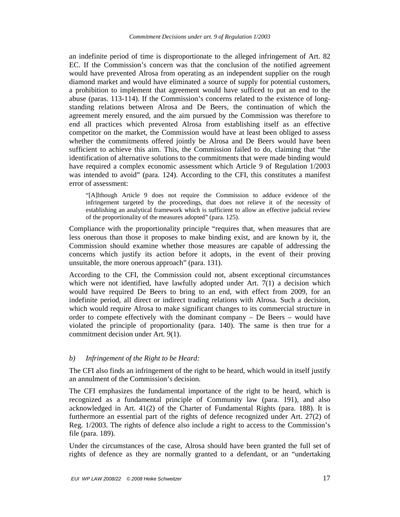an indefinite period of time is disproportionate to the alleged infringement of Art. 82 EC. If the Commission's concern was that the conclusion of the notified agreement would have prevented Alrosa from operating as an independent supplier on the rough diamond market and would have eliminated a source of supply for potential customers, a prohibition to implement that agreement would have sufficed to put an end to the abuse (paras. 113-114). If the Commission's concerns related to the existence of longstanding relations between Alrosa and De Beers, the continuation of which the agreement merely ensured, and the aim pursued by the Commission was therefore to end all practices which prevented Alrosa from establishing itself as an effective competitor on the market, the Commission would have at least been obliged to assess whether the commitments offered jointly be Alrosa and De Beers would have been sufficient to achieve this aim. This, the Commission failed to do, claiming that "the identification of alternative solutions to the commitments that were made binding would have required a complex economic assessment which Article 9 of Regulation 1/2003 was intended to avoid" (para. 124). According to the CFI, this constitutes a manifest error of assessment:

"[A]lthough Article 9 does not require the Commission to adduce evidence of the infringement targeted by the proceedings, that does not relieve it of the necessity of establishing an analytical framework which is sufficient to allow an effective judicial review of the proportionality of the measures adopted" (para. 125).

Compliance with the proportionality principle "requires that, when measures that are less onerous than those it proposes to make binding exist, and are known by it, the Commission should examine whether those measures are capable of addressing the concerns which justify its action before it adopts, in the event of their proving unsuitable, the more onerous approach" (para. 131).

According to the CFI, the Commission could not, absent exceptional circumstances which were not identified, have lawfully adopted under Art. 7(1) a decision which would have required De Beers to bring to an end, with effect from 2009, for an indefinite period, all direct or indirect trading relations with Alrosa. Such a decision, which would require Alrosa to make significant changes to its commercial structure in order to compete effectively with the dominant company – De Beers – would have violated the principle of proportionality (para. 140). The same is then true for a commitment decision under Art. 9(1).

## *b) Infringement of the Right to be Heard:*

The CFI also finds an infringement of the right to be heard, which would in itself justify an annulment of the Commission's decision.

The CFI emphasizes the fundamental importance of the right to be heard, which is recognized as a fundamental principle of Community law (para. 191), and also acknowledged in Art. 41(2) of the Charter of Fundamental Rights (para. 188). It is furthermore an essential part of the rights of defence recognized under Art. 27(2) of Reg. 1/2003. The rights of defence also include a right to access to the Commission's file (para. 189).

Under the circumstances of the case, Alrosa should have been granted the full set of rights of defence as they are normally granted to a defendant, or an "undertaking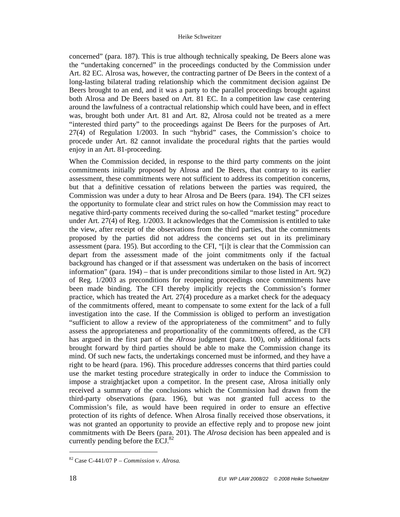concerned" (para. 187). This is true although technically speaking, De Beers alone was the "undertaking concerned" in the proceedings conducted by the Commission under Art. 82 EC. Alrosa was, however, the contracting partner of De Beers in the context of a long-lasting bilateral trading relationship which the commitment decision against De Beers brought to an end, and it was a party to the parallel proceedings brought against both Alrosa and De Beers based on Art. 81 EC. In a competition law case centering around the lawfulness of a contractual relationship which could have been, and in effect was, brought both under Art. 81 and Art. 82, Alrosa could not be treated as a mere "interested third party" to the proceedings against De Beers for the purposes of Art. 27(4) of Regulation 1/2003. In such "hybrid" cases, the Commission's choice to procede under Art. 82 cannot invalidate the procedural rights that the parties would enjoy in an Art. 81-proceeding.

When the Commission decided, in response to the third party comments on the joint commitments initially proposed by Alrosa and De Beers, that contrary to its earlier assessment, these commitments were not sufficient to address its competition concerns, but that a definitive cessation of relations between the parties was required, the Commission was under a duty to hear Alrosa and De Beers (para. 194). The CFI seizes the opportunity to formulate clear and strict rules on how the Commission may react to negative third-party comments received during the so-called "market testing" procedure under Art. 27(4) of Reg. 1/2003. It acknowledges that the Commission is entitled to take the view, after receipt of the observations from the third parties, that the commitments proposed by the parties did not address the concerns set out in its preliminary assessment (para. 195). But according to the CFI, "[i]t is clear that the Commission can depart from the assessment made of the joint commitments only if the factual background has changed or if that assessment was undertaken on the basis of incorrect information" (para.  $194$ ) – that is under preconditions similar to those listed in Art.  $9(2)$ of Reg. 1/2003 as preconditions for reopening proceedings once commitments have been made binding. The CFI thereby implicitly rejects the Commission's former practice, which has treated the Art. 27(4) procedure as a market check for the adequacy of the commitments offered, meant to compensate to some extent for the lack of a full investigation into the case. If the Commission is obliged to perform an investigation "sufficient to allow a review of the appropriateness of the commitment" and to fully assess the appropriateness and proportionality of the commitments offered, as the CFI has argued in the first part of the *Alrosa* judgment (para. 100), only additional facts brought forward by third parties should be able to make the Commission change its mind. Of such new facts, the undertakings concerned must be informed, and they have a right to be heard (para. 196). This procedure addresses concerns that third parties could use the market testing procedure strategically in order to induce the Commission to impose a straightjacket upon a competitor. In the present case, Alrosa initially only received a summary of the conclusions which the Commission had drawn from the third-party observations (para. 196), but was not granted full access to the Commission's file, as would have been required in order to ensure an effective protection of its rights of defence. When Alrosa finally received those observations, it was not granted an opportunity to provide an effective reply and to propose new joint commitments with De Beers (para. 201). The *Alrosa* decision has been appealed and is currently pending before the  $ECJ$ .<sup>82</sup>

<sup>82</sup> Case C-441/07 P – *Commission v. Alrosa.*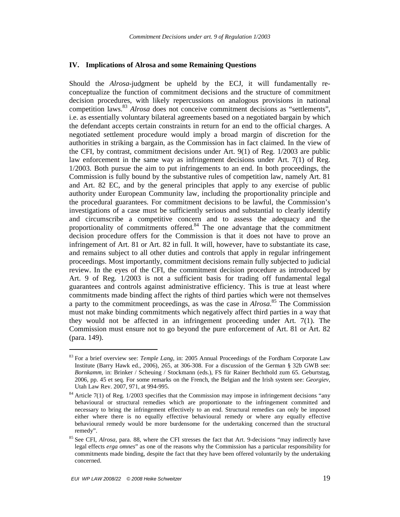#### **IV. Implications of Alrosa and some Remaining Questions**

Should the *Alrosa-*judgment be upheld by the ECJ, it will fundamentally reconceptualize the function of commitment decisions and the structure of commitment decision procedures, with likely repercussions on analogous provisions in national competition laws.<sup>83</sup> *Alrosa* does not conceive commitment decisions as "settlements", i.e. as essentially voluntary bilateral agreements based on a negotiated bargain by which the defendant accepts certain constraints in return for an end to the official charges. A negotiated settlement procedure would imply a broad margin of discretion for the authorities in striking a bargain, as the Commission has in fact claimed. In the view of the CFI, by contrast, commitment decisions under Art. 9(1) of Reg. 1/2003 are public law enforcement in the same way as infringement decisions under Art. 7(1) of Reg. 1/2003. Both pursue the aim to put infringements to an end. In both proceedings, the Commission is fully bound by the substantive rules of competition law, namely Art. 81 and Art. 82 EC, and by the general principles that apply to any exercise of public authority under European Community law, including the proportionality principle and the procedural guarantees. For commitment decisions to be lawful, the Commission's investigations of a case must be sufficiently serious and substantial to clearly identify and circumscribe a competitive concern and to assess the adequacy and the proportionality of commitments offered.<sup>84</sup> The one advantage that the commitment decision procedure offers for the Commission is that it does not have to prove an infringement of Art. 81 or Art. 82 in full. It will, however, have to substantiate its case, and remains subject to all other duties and controls that apply in regular infringement proceedings. Most importantly, commitment decisions remain fully subjected to judicial review. In the eyes of the CFI, the commitment decision procedure as introduced by Art. 9 of Reg. 1/2003 is not a sufficient basis for trading off fundamental legal guarantees and controls against administrative efficiency. This is true at least where commitments made binding affect the rights of third parties which were not themselves a party to the commitment proceedings, as was the case in *Alrosa*. <sup>85</sup> The Commission must not make binding commitments which negatively affect third parties in a way that they would not be affected in an infringement proceeding under Art. 7(1). The Commission must ensure not to go beyond the pure enforcement of Art. 81 or Art. 82 (para. 149).

<sup>83</sup> For a brief overview see: *Temple Lang,* in: 2005 Annual Proceedings of the Fordham Corporate Law Institute (Barry Hawk ed., 2006), 265, at 306-308. For a discussion of the German § 32b GWB see: *Bornkamm,* in: Brinker / Scheuing / Stockmann (eds.), FS für Rainer Bechthold zum 65. Geburtstag, 2006, pp. 45 et seq. For some remarks on the French, the Belgian and the Irish system see: *Georgiev,* Utah Law Rev. 2007, 971, at 994-995.

 $84$  Article 7(1) of Reg. 1/2003 specifies that the Commission may impose in infringement decisions "any behavioural or structural remedies which are proportionate to the infringement committed and necessary to bring the infringement effectively to an end. Structural remedies can only be imposed either where there is no equally effective behavioural remedy or where any equally effective behavioural remedy would be more burdensome for the undertaking concerned than the structural remedy".

<sup>85</sup> See CFI, *Alrosa*, para. 88, where the CFI stresses the fact that Art. 9-decisions "may indirectly have legal effects *erga omnes*" as one of the reasons why the Commission has a particular responsibility for commitments made binding, despite the fact that they have been offered voluntarily by the undertaking concerned.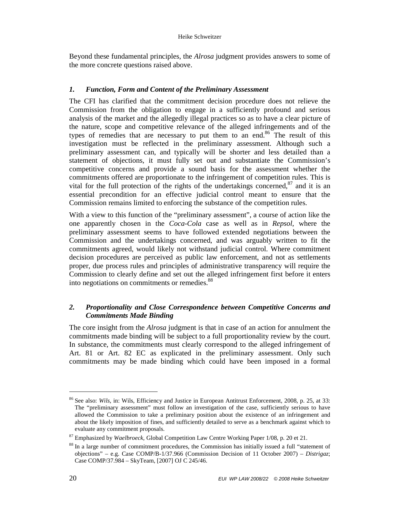Beyond these fundamental principles, the *Alrosa* judgment provides answers to some of the more concrete questions raised above.

## *1. Function, Form and Content of the Preliminary Assessment*

The CFI has clarified that the commitment decision procedure does not relieve the Commission from the obligation to engage in a sufficiently profound and serious analysis of the market and the allegedly illegal practices so as to have a clear picture of the nature, scope and competitive relevance of the alleged infringements and of the types of remedies that are necessary to put them to an end.<sup>86</sup> The result of this investigation must be reflected in the preliminary assessment. Although such a preliminary assessment can, and typically will be shorter and less detailed than a statement of objections, it must fully set out and substantiate the Commission's competitive concerns and provide a sound basis for the assessment whether the commitments offered are proportionate to the infringement of competition rules. This is vital for the full protection of the rights of the undertakings concerned, $87$  and it is an essential precondition for an effective judicial control meant to ensure that the Commission remains limited to enforcing the substance of the competition rules.

With a view to this function of the "preliminary assessment", a course of action like the one apparently chosen in the *Coca-Cola* case as well as in *Repsol*, where the preliminary assessment seems to have followed extended negotiations between the Commission and the undertakings concerned, and was arguably written to fit the commitments agreed, would likely not withstand judicial control. Where commitment decision procedures are perceived as public law enforcement, and not as settlements proper, due process rules and principles of administrative transparency will require the Commission to clearly define and set out the alleged infringement first before it enters into negotiations on commitments or remedies.<sup>88</sup>

## *2. Proportionality and Close Correspondence between Competitive Concerns and Commitments Made Binding*

The core insight from the *Alrosa* judgment is that in case of an action for annulment the commitments made binding will be subject to a full proportionality review by the court. In substance, the commitments must clearly correspond to the alleged infringement of Art. 81 or Art. 82 EC as explicated in the preliminary assessment. Only such commitments may be made binding which could have been imposed in a formal

<sup>86</sup> See also: *Wils*, in: Wils, Efficiency and Justice in European Antitrust Enforcement, 2008, p. 25, at 33: The "preliminary assessment" must follow an investigation of the case, sufficiently serious to have allowed the Commission to take a preliminary position about the existence of an infringement and about the likely imposition of fines, and sufficiently detailed to serve as a benchmark against which to evaluate any commitment proposals.

<sup>87</sup> Emphasized by *Waelbroeck,* Global Competition Law Centre Working Paper 1/08, p. 20 et 21.

<sup>88</sup> In a large number of commitment procedures, the Commission has initially issued a full "statement of objections" – e.g. Case COMP/B-1/37.966 (Commission Decision of 11 October 2007) – *Distrigaz*; Case COMP/37.984 – SkyTeam, [2007] OJ C 245/46.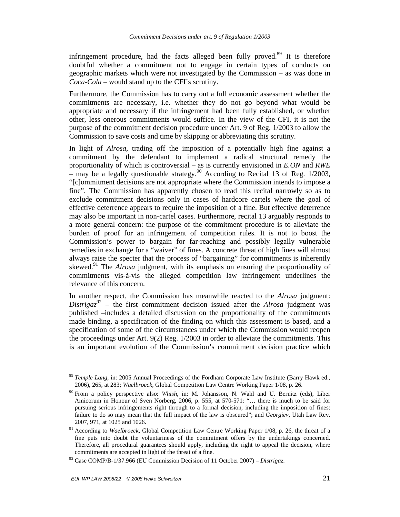infringement procedure, had the facts alleged been fully proved.<sup>89</sup> It is therefore doubtful whether a commitment not to engage in certain types of conducts on geographic markets which were not investigated by the Commission – as was done in *Coca-Cola* – would stand up to the CFI's scrutiny.

Furthermore, the Commission has to carry out a full economic assessment whether the commitments are necessary, i.e. whether they do not go beyond what would be appropriate and necessary if the infringement had been fully established, or whether other, less onerous commitments would suffice. In the view of the CFI, it is not the purpose of the commitment decision procedure under Art. 9 of Reg. 1/2003 to allow the Commission to save costs and time by skipping or abbreviating this scrutiny.

In light of *Alrosa*, trading off the imposition of a potentially high fine against a commitment by the defendant to implement a radical structural remedy the proportionality of which is controversial – as is currently envisioned in *E.ON* and *RWE*  – may be a legally questionable strategy.<sup>90</sup> According to Recital 13 of Reg. 1/2003, "[c]ommitment decisions are not appropriate where the Commission intends to impose a fine". The Commission has apparently chosen to read this recital narrowly so as to exclude commitment decisions only in cases of hardcore cartels where the goal of effective deterrence appears to require the imposition of a fine. But effective deterrence may also be important in non-cartel cases. Furthermore, recital 13 arguably responds to a more general concern: the purpose of the commitment procedure is to alleviate the burden of proof for an infringement of competition rules. It is not to boost the Commission's power to bargain for far-reaching and possibly legally vulnerable remedies in exchange for a "waiver" of fines. A concrete threat of high fines will almost always raise the specter that the process of "bargaining" for commitments is inherently skewed.<sup>91</sup> The *Alrosa* judgment, with its emphasis on ensuring the proportionality of commitments vis-à-vis the alleged competition law infringement underlines the relevance of this concern.

In another respect, the Commission has meanwhile reacted to the *Alrosa* judgment: *Distrigaz*<sup>92</sup> – the first commitment decision issued after the *Alrosa* judgment was published –includes a detailed discussion on the proportionality of the commitments made binding, a specification of the finding on which this assessment is based, and a specification of some of the circumstances under which the Commission would reopen the proceedings under Art. 9(2) Reg. 1/2003 in order to alleviate the commitments. This is an important evolution of the Commission's commitment decision practice which

<sup>89</sup> *Temple Lang,* in: 2005 Annual Proceedings of the Fordham Corporate Law Institute (Barry Hawk ed., 2006), 265, at 283; *Waelbroeck,* Global Competition Law Centre Working Paper 1/08, p. 26.

<sup>90</sup> From a policy perspective also: *Whish*, in: M. Johansson, N. Wahl and U. Bernitz (eds), Liber Amicorum in Honour of Sven Norberg, 2006, p. 555, at 570-571: "… there is much to be said for pursuing serious infringements right through to a formal decision, including the imposition of fines: failure to do so may mean that the full impact of the law is obscured"; and *Georgiev,* Utah Law Rev. 2007, 971, at 1025 and 1026.

<sup>91</sup> According to *Waelbroeck,* Global Competition Law Centre Working Paper 1/08, p. 26, the threat of a fine puts into doubt the voluntariness of the commitment offers by the undertakings concerned. Therefore, all procedural guarantees should apply, including the right to appeal the decision, where commitments are accepted in light of the threat of a fine.

<sup>92</sup> Case COMP/B-1/37.966 (EU Commission Decision of 11 October 2007) – *Distrigaz*.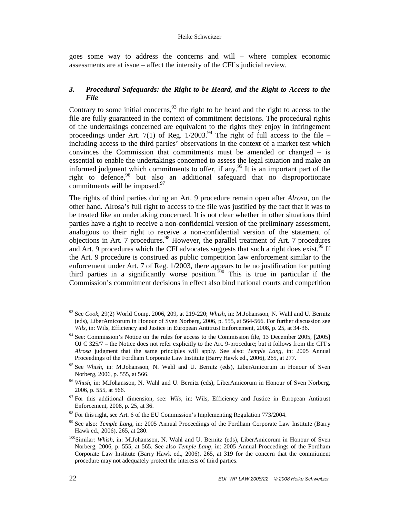#### Heike Schweitzer

goes some way to address the concerns and will – where complex economic assessments are at issue – affect the intensity of the CFI's judicial review.

## *3. Procedural Safeguards: the Right to be Heard, and the Right to Access to the File*

Contrary to some initial concerns,<sup>93</sup> the right to be heard and the right to access to the file are fully guaranteed in the context of commitment decisions. The procedural rights of the undertakings concerned are equivalent to the rights they enjoy in infringement proceedings under Art. 7(1) of Reg.  $1/2003^{94}$  The right of full access to the file – including access to the third parties' observations in the context of a market test which convinces the Commission that commitments must be amended or changed – is essential to enable the undertakings concerned to assess the legal situation and make an informed judgment which commitments to offer, if any.<sup>95</sup> It is an important part of the right to defence, <sup>96</sup> but also an additional safeguard that no disproportionate commitments will be imposed. $97$ 

The rights of third parties during an Art. 9 procedure remain open after *Alrosa,* on the other hand. Alrosa's full right to access to the file was justified by the fact that it was to be treated like an undertaking concerned. It is not clear whether in other situations third parties have a right to receive a non-confidential version of the preliminary assessment, analogous to their right to receive a non-confidential version of the statement of objections in Art. 7 procedures.<sup>98</sup> However, the parallel treatment of Art. 7 procedures and Art. 9 procedures which the CFI advocates suggests that such a right does exist.<sup>99</sup> If the Art. 9 procedure is construed as public competition law enforcement similar to the enforcement under Art. 7 of Reg. 1/2003, there appears to be no justification for putting third parties in a significantly worse position.<sup>100</sup> This is true in particular if the Commission's commitment decisions in effect also bind national courts and competition

<sup>93</sup> See *Cook*, 29(2) World Comp. 2006, 209, at 219-220; *Whish*, in: M.Johansson, N. Wahl and U. Bernitz (eds), LiberAmicorum in Honour of Sven Norberg, 2006, p. 555, at 564-566. For further discussion see *Wils*, in: Wils, Efficiency and Justice in European Antitrust Enforcement, 2008, p. 25, at 34-36.

<sup>&</sup>lt;sup>94</sup> See: Commission's Notice on the rules for access to the Commission file, 13 December 2005, [2005] OJ C 325/7 – the Notice does not refer explicitly to the Art. 9-procedure; but it follows from the CFI's *Alrosa* judgment that the same principles will apply. See also: *Temple Lang,* in: 2005 Annual Proceedings of the Fordham Corporate Law Institute (Barry Hawk ed., 2006), 265, at 277.

<sup>95</sup> See *Whish*, in: M.Johansson, N. Wahl and U. Bernitz (eds), LiberAmicorum in Honour of Sven Norberg, 2006, p. 555, at 566.

<sup>96</sup> *Whish*, in: M.Johansson, N. Wahl and U. Bernitz (eds), LiberAmicorum in Honour of Sven Norberg, 2006, p. 555, at 566.

<sup>&</sup>lt;sup>97</sup> For this additional dimension, see: *Wils*, in: Wils, Efficiency and Justice in European Antitrust Enforcement, 2008, p. 25, at 36.

 $98$  For this right, see Art. 6 of the EU Commission's Implementing Regulation 773/2004.

<sup>99</sup> See also: *Temple Lang,* in: 2005 Annual Proceedings of the Fordham Corporate Law Institute (Barry Hawk ed., 2006), 265, at 280.

<sup>&</sup>lt;sup>100</sup>Similar: *Whish*, in: M.Johansson, N. Wahl and U. Bernitz (eds), LiberAmicorum in Honour of Sven Norberg, 2006, p. 555, at 565. See also *Temple Lang,* in: 2005 Annual Proceedings of the Fordham Corporate Law Institute (Barry Hawk ed., 2006), 265, at 319 for the concern that the commitment procedure may not adequately protect the interests of third parties.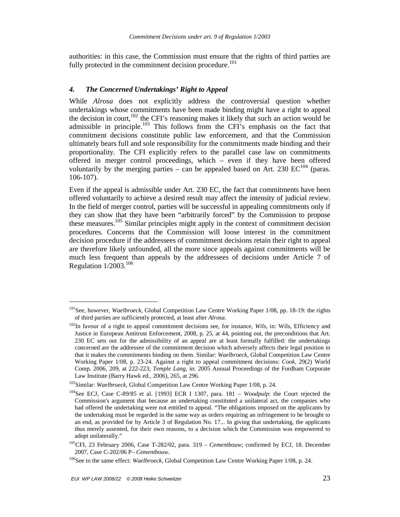authorities: in this case, the Commission must ensure that the rights of third parties are fully protected in the commitment decision procedure.<sup>101</sup>

#### *4. The Concerned Undertakings' Right to Appeal*

While *Alrosa* does not explicitly address the controversial question whether undertakings whose commitments have been made binding might have a right to appeal the decision in court,  $102$  the CFI's reasoning makes it likely that such an action would be admissible in principle.<sup>103</sup> This follows from the CFI's emphasis on the fact that commitment decisions constitute public law enforcement, and that the Commission ultimately bears full and sole responsibility for the commitments made binding and their proportionality. The CFI explicitly refers to the parallel case law on commitments offered in merger control proceedings, which – even if they have been offered voluntarily by the merging parties – can be appealed based on Art. 230  $EC^{104}$  (paras. 106-107).

Even if the appeal is admissible under Art. 230 EC, the fact that commitments have been offered voluntarily to achieve a desired result may affect the intensity of judicial review. In the field of merger control, parties will be successful in appealing commitments only if they can show that they have been "arbitrarily forced" by the Commission to propose these measures.<sup>105</sup> Similar principles might apply in the context of commitment decision procedures. Concerns that the Commission will loose interest in the commitment decision procedure if the addressees of commitment decisions retain their right to appeal are therefore likely unfounded, all the more since appeals against commitments will be much less frequent than appeals by the addressees of decisions under Article 7 of Regulation  $1/2003$ <sup>106</sup>

<sup>101</sup>See, however, *Waelbroeck,* Global Competition Law Centre Working Paper 1/08, pp. 18-19: the rights of third parties are sufficiently protected, at least after *Alrosa*.

<sup>102</sup>In favour of a right to appeal commitment decisions see, for instance, *Wils*, in: Wils, Efficiency and Justice in European Antitrust Enforcement, 2008, p. 25, at 44, pointing out, the preconditions that Art. 230 EC sets out for the admissibility of an appeal are at least formally fulfilled: the undertakings concerned are the addressee of the commitment decision which adversely affects their legal position in that it makes the commitments binding on them. Similar: *Waelbroeck,* Global Competition Law Centre Working Paper 1/08, p. 23-24. Against a right to appeal commitment decisions: *Cook*, 29(2) World Comp. 2006, 209, at 222-223; *Temple Lang,* in: 2005 Annual Proceedings of the Fordham Corporate Law Institute (Barry Hawk ed., 2006), 265, at 296.

<sup>103</sup>Similar: *Waelbroeck,* Global Competition Law Centre Working Paper 1/08, p. 24.

<sup>104</sup>See ECJ, Case C-89/85 et al. [1993] ECR I 1307, para. 181 – *Woodpulp*: the Court rejected the Commission's argument that because an undertaking constituted a unilateral act, the companies who had offered the undertaking were not entitled to appeal. "The obligations imposed on the applicants by the undertaking must be regarded in the same way as orders requiring an infringement to be brought to an end, as provided for by Article 3 of Regulation No. 17... In giving that undertaking, the applicants thus merely assented, for their own reasons, to a decision which the Commission was empowered to adopt unilaterally."

<sup>105</sup>CFI, 23 February 2006, Case T-282/02, para. 319 – *Cementbouw*; confirmed by ECJ, 18. December 2007, Case C-202/06 P– *Cementbouw.* 

<sup>106</sup>See to the same effect: *Waelbroeck,* Global Competition Law Centre Working Paper 1/08, p. 24.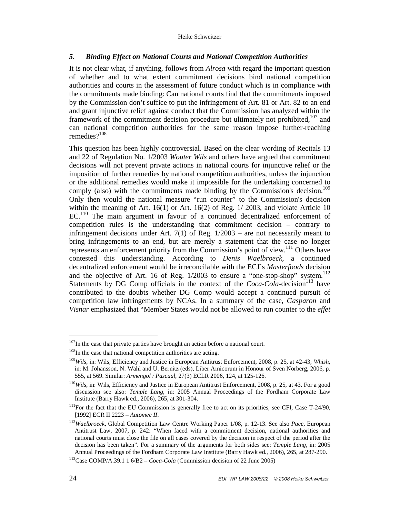#### Heike Schweitzer

#### *5. Binding Effect on National Courts and National Competition Authorities*

It is not clear what, if anything, follows from *Alrosa* with regard the important question of whether and to what extent commitment decisions bind national competition authorities and courts in the assessment of future conduct which is in compliance with the commitments made binding: Can national courts find that the commitments imposed by the Commission don't suffice to put the infringement of Art. 81 or Art. 82 to an end and grant injunctive relief against conduct that the Commission has analyzed within the framework of the commitment decision procedure but ultimately not prohibited,<sup>107</sup> and can national competition authorities for the same reason impose further-reaching remedies? $108$ 

This question has been highly controversial. Based on the clear wording of Recitals 13 and 22 of Regulation No. 1/2003 *Wouter Wils* and others have argued that commitment decisions will not prevent private actions in national courts for injunctive relief or the imposition of further remedies by national competition authorities, unless the injunction or the additional remedies would make it impossible for the undertaking concerned to comply (also) with the commitments made binding by the Commission's decision.<sup>109</sup> Only then would the national measure "run counter" to the Commission's decision within the meaning of Art. 16(1) or Art. 16(2) of Reg. 1/ 2003, and violate Article 10 EC.<sup>110</sup> The main argument in favour of a continued decentralized enforcement of competition rules is the understanding that commitment decision – contrary to infringement decisions under Art.  $7(1)$  of Reg.  $1/2003$  – are not necessarily meant to bring infringements to an end, but are merely a statement that the case no longer represents an enforcement priority from the Commission's point of view.<sup>111</sup> Others have contested this understanding. According to *Denis Waelbroeck,* a continued decentralized enforcement would be irreconcilable with the ECJ's *Masterfoods* decision and the objective of Art. 16 of Reg.  $1/2003$  to ensure a "one-stop-shop" system.<sup>112</sup> Statements by DG Comp officials in the context of the *Coca-Cola-decision*<sup>113</sup> have contributed to the doubts whether DG Comp would accept a continued pursuit of competition law infringements by NCAs. In a summary of the case, *Gasparon* and *Visnar* emphasized that "Member States would not be allowed to run counter to the *effet* 

<sup>&</sup>lt;sup>107</sup>In the case that private parties have brought an action before a national court.

 $108$ In the case that national competition authorities are acting.

<sup>109</sup>*Wils*, in: Wils, Efficiency and Justice in European Antitrust Enforcement, 2008, p. 25, at 42-43; *Whish*, in: M. Johansson, N. Wahl and U. Bernitz (eds), Liber Amicorum in Honour of Sven Norberg, 2006, p. 555, at 569. Similar: *Armengol / Pascual,* 27(3) ECLR 2006, 124, at 125-126.

<sup>&</sup>lt;sup>110</sup>Wils, in: Wils, Efficiency and Justice in European Antitrust Enforcement, 2008, p. 25, at 43. For a good discussion see also: *Temple Lang,* in: 2005 Annual Proceedings of the Fordham Corporate Law Institute (Barry Hawk ed., 2006), 265, at 301-304.

<sup>&</sup>lt;sup>111</sup>For the fact that the EU Commission is generally free to act on its priorities, see CFI, Case T-24/90, [1992] ECR II 2223 – *Automec II*.

<sup>112</sup>*Waelbroeck,* Global Competition Law Centre Working Paper 1/08, p. 12-13. See also *Pace,* European Antitrust Law, 2007, p. 242: "When faced with a commitment decision, national authorities and national courts must close the file on all cases covered by the decision in respect of the period after the decision has been taken". For a summary of the arguments for both sides see: *Temple Lang,* in: 2005 Annual Proceedings of the Fordham Corporate Law Institute (Barry Hawk ed., 2006), 265, at 287-290.

<sup>113</sup>Case COMP/A.39.1 1 6/B2 – *Coca-Cola* (Commission decision of 22 June 2005)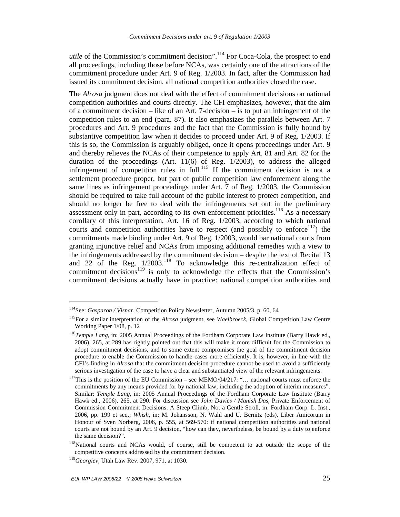*utile* of the Commission's commitment decision".<sup>114</sup> For Coca-Cola, the prospect to end all proceedings, including those before NCAs, was certainly one of the attractions of the commitment procedure under Art. 9 of Reg. 1/2003. In fact, after the Commission had issued its commitment decision, all national competition authorities closed the case.

The *Alrosa* judgment does not deal with the effect of commitment decisions on national competition authorities and courts directly. The CFI emphasizes, however, that the aim of a commitment decision – like of an Art. 7-decision – is to put an infringement of the competition rules to an end (para. 87). It also emphasizes the parallels between Art. 7 procedures and Art. 9 procedures and the fact that the Commission is fully bound by substantive competition law when it decides to proceed under Art. 9 of Reg. 1/2003. If this is so, the Commission is arguably obliged, once it opens proceedings under Art. 9 and thereby relieves the NCAs of their competence to apply Art. 81 and Art. 82 for the duration of the proceedings (Art. 11(6) of Reg. 1/2003), to address the alleged infringement of competition rules in full.<sup>115</sup> If the commitment decision is not a settlement procedure proper, but part of public competition law enforcement along the same lines as infringement proceedings under Art. 7 of Reg. 1/2003, the Commission should be required to take full account of the public interest to protect competition, and should no longer be free to deal with the infringements set out in the preliminary assessment only in part, according to its own enforcement priorities.<sup>116</sup> As a necessary corollary of this interpretation, Art. 16 of Reg. 1/2003, according to which national courts and competition authorities have to respect (and possibly to enforce<sup>117</sup>) the commitments made binding under Art. 9 of Reg. 1/2003, would bar national courts from granting injunctive relief and NCAs from imposing additional remedies with a view to the infringements addressed by the commitment decision – despite the text of Recital 13 and 22 of the Reg.  $1/2003$ <sup>118</sup> To acknowledge this re-centralization effect of commitment decisions<sup>119</sup> is only to acknowledge the effects that the Commission's commitment decisions actually have in practice: national competition authorities and

<sup>114</sup>See: *Gasparon / Visnar*, Competition Policy Newsletter, Autumn 2005/3, p. 60, 64

<sup>115</sup>For a similar interpretation of the *Alrosa* judgment, see *Waelbroeck,* Global Competition Law Centre Working Paper 1/08, p. 12

<sup>116</sup>*Temple Lang,* in: 2005 Annual Proceedings of the Fordham Corporate Law Institute (Barry Hawk ed., 2006), 265, at 289 has rightly pointed out that this will make it more difficult for the Commission to adopt commitment decisions, and to some extent compromises the goal of the commitment decision procedure to enable the Commission to handle cases more efficiently. It is, however, in line with the CFI's finding in *Alrosa* that the commitment decision procedure cannot be used to avoid a sufficiently serious investigation of the case to have a clear and substantiated view of the relevant infringements.

<sup>&</sup>lt;sup>117</sup>This is the position of the EU Commission – see MEMO/04/217: "... national courts must enforce the commitments by any means provided for by national law, including the adoption of interim measures". Similar: *Temple Lang,* in: 2005 Annual Proceedings of the Fordham Corporate Law Institute (Barry Hawk ed., 2006), 265, at 290. For discussion see *John Davies / Manish Das,* Private Enforcement of Commission Commitment Decisions: A Steep Climb, Not a Gentle Stroll, in: Fordham Corp. L. Inst., 2006, pp. 199 et seq.; *Whish*, in: M. Johansson, N. Wahl and U. Bernitz (eds), Liber Amicorum in Honour of Sven Norberg, 2006, p. 555, at 569-570: if national competition authorities and national courts are not bound by an Art. 9 decision, "how can they, nevertheless, be bound by a duty to enforce the same decision?".

<sup>&</sup>lt;sup>118</sup>National courts and NCAs would, of course, still be competent to act outside the scope of the competitive concerns addressed by the commitment decision.

<sup>119</sup>*Georgiev,* Utah Law Rev. 2007, 971, at 1030.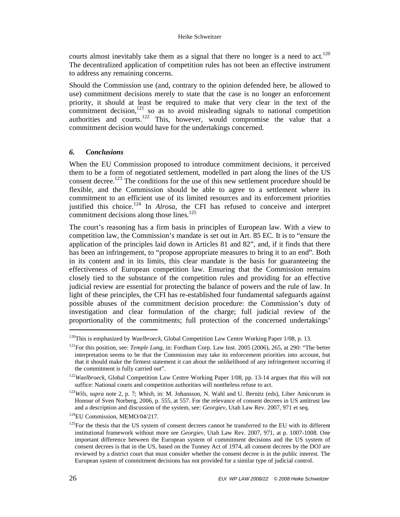#### Heike Schweitzer

courts almost inevitably take them as a signal that there no longer is a need to act.<sup>120</sup> The decentralized application of competition rules has not been an effective instrument to address any remaining concerns.

Should the Commission use (and, contrary to the opinion defended here, be allowed to use) commitment decisions merely to state that the case is no longer an enforcement priority, it should at least be required to make that very clear in the text of the commitment decision, $121$  so as to avoid misleading signals to national competition authorities and courts.<sup>122</sup> This, however, would compromise the value that a commitment decision would have for the undertakings concerned.

## *6. Conclusions*

When the EU Commission proposed to introduce commitment decisions, it perceived them to be a form of negotiated settlement, modelled in part along the lines of the US consent decree.<sup>123</sup> The conditions for the use of this new settlement procedure should be flexible, and the Commission should be able to agree to a settlement where its commitment to an efficient use of its limited resources and its enforcement priorities justified this choice.<sup>124</sup> In *Alrosa*, the CFI has refused to conceive and interpret commitment decisions along those lines. $125$ 

The court's reasoning has a firm basis in principles of European law. With a view to competition law, the Commission's mandate is set out in Art. 85 EC. It is to "ensure the application of the principles laid down in Articles 81 and 82", and, if it finds that there has been an infringement, to "propose appropriate measures to bring it to an end". Both in its content and in its limits, this clear mandate is the basis for guaranteeing the effectiveness of European competition law. Ensuring that the Commission remains closely tied to the substance of the competition rules and providing for an effective judicial review are essential for protecting the balance of powers and the rule of law. In light of these principles, the CFI has re-established four fundamental safeguards against possible abuses of the commitment decision procedure: the Commission's duty of investigation and clear formulation of the charge; full judicial review of the proportionality of the commitments; full protection of the concerned undertakings'

<sup>120</sup>This is emphasized by *Waelbroeck,* Global Competition Law Centre Working Paper 1/08, p. 13.

<sup>&</sup>lt;sup>121</sup>For this position, see: *Temple Lang*, in: Fordham Corp. Law Inst. 2005 (2006), 265, at 290: "The better interpretation seems to be that the Commission may take its enforcement priorities into account, but that it should make the firmest statement it can about the unlikelihood of any infringement occurring if the commitment is fully carried out".

<sup>122</sup>*Waelbroeck,* Global Competition Law Centre Working Paper 1/08, pp. 13-14 argues that this will not suffice: National courts and competition authorities will nontheless refuse to act.

<sup>123</sup>*Wils*, *supra* note 2, p. 7; *Whish*, in: M. Johansson, N. Wahl and U. Bernitz (eds), Liber Amicorum in Honour of Sven Norberg, 2006, p. 555, at 557. For the relevance of consent decrees in US antitrust law and a description and discussion of the system, see: *Georgiev,* Utah Law Rev. 2007, 971 et seq.

<sup>124</sup>EU Commission, MEMO/04/217.

 $125$  For the thesis that the US system of consent decrees cannot be transferred to the EU with its different institutional framework without more see *Georgiev,* Utah Law Rev. 2007, 971, at p. 1007-1008. One important difference between the European system of commitment decisions and the US system of consent decrees is that in the US, based on the Tunney Act of 1974, all consent decrees by the DOJ are reviewed by a district court that must consider whether the consent decree is in the public interest. The European system of commitment decisions has not provided for a similar type of judicial control.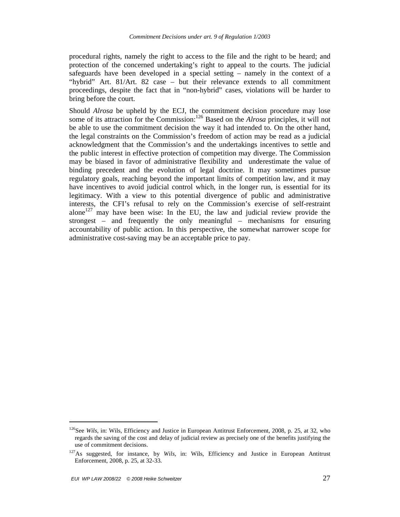procedural rights, namely the right to access to the file and the right to be heard; and protection of the concerned undertaking's right to appeal to the courts. The judicial safeguards have been developed in a special setting – namely in the context of a "hybrid" Art. 81/Art. 82 case – but their relevance extends to all commitment proceedings, despite the fact that in "non-hybrid" cases, violations will be harder to bring before the court.

Should *Alrosa* be upheld by the ECJ, the commitment decision procedure may lose some of its attraction for the Commission:<sup>126</sup> Based on the *Alrosa* principles, it will not be able to use the commitment decision the way it had intended to. On the other hand, the legal constraints on the Commission's freedom of action may be read as a judicial acknowledgment that the Commission's and the undertakings incentives to settle and the public interest in effective protection of competition may diverge. The Commission may be biased in favor of administrative flexibility and underestimate the value of binding precedent and the evolution of legal doctrine. It may sometimes pursue regulatory goals, reaching beyond the important limits of competition law, and it may have incentives to avoid judicial control which, in the longer run, is essential for its legitimacy. With a view to this potential divergence of public and administrative interests, the CFI's refusal to rely on the Commission's exercise of self-restraint alone<sup>127</sup> may have been wise: In the EU, the law and judicial review provide the strongest – and frequently the only meaningful – mechanisms for ensuring accountability of public action. In this perspective, the somewhat narrower scope for administrative cost-saving may be an acceptable price to pay.

<sup>&</sup>lt;sup>126</sup>See *Wils*, in: Wils, Efficiency and Justice in European Antitrust Enforcement, 2008, p. 25, at 32, who regards the saving of the cost and delay of judicial review as precisely one of the benefits justifying the use of commitment decisions.

<sup>127</sup>As suggested, for instance, by *Wils*, in: Wils, Efficiency and Justice in European Antitrust Enforcement, 2008, p. 25, at 32-33.